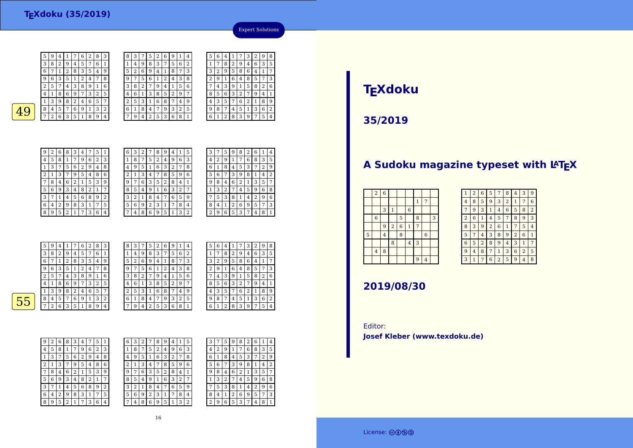

| 8            | 3 |                | 5 | 2 | 6 | 9 | ı | 4 | 5 | 6 | 4 |        |   | З | 2 | 9 | 8 |
|--------------|---|----------------|---|---|---|---|---|---|---|---|---|--------|---|---|---|---|---|
| $\mathbf{1}$ | 4 | 9              | 8 | 3 | 7 | 5 | 6 | 2 | 1 | 7 | 8 | ∍<br>∠ | 9 | 4 | 6 | 3 | 5 |
| 5            | 2 | 6              | 9 | 4 | 1 | 8 | 7 | 3 | 3 | 2 | 9 | 5      | 8 | 6 | 4 | 1 | 7 |
| 9            | 7 | 5              | 6 | 1 | 2 | 4 | 3 | 8 | 2 | 9 |   | 6      | 4 | 8 | 5 | 7 | 3 |
| 3            | 8 | $\overline{2}$ | 7 | 9 | 4 | 1 | 5 | 6 | 7 | 4 | 3 | 9      | 1 | 5 | 8 | 2 | 6 |
| 4            | 6 | 1              | 3 | 8 | 5 | 2 | 9 | 7 | 8 | 5 | 6 | 3      | 2 | 7 | 9 | 4 | 1 |
| 2            | 5 | 3              |   | 6 | 8 |   | 4 | 9 | 4 | 3 | 5 |        | 6 | 2 | 1 | 8 | g |
| 6            | 1 | 8              | 4 | 7 | 9 | 3 | 2 | 5 | 9 | 8 | 7 | 4      | 5 | 1 | 3 | 6 | 2 |
| 7            | 9 | $\overline{4}$ | 2 | 5 | 3 | 6 | 8 |   | 6 |   | ി | 8      | 3 | 9 | 7 | 5 | 4 |
|              |   |                |   |   |   |   |   |   |   |   |   |        |   |   |   |   |   |



5

| 9 | 2 | 6 | 8              | 3 | 4            | 7 | 5 | 1 |
|---|---|---|----------------|---|--------------|---|---|---|
| 4 | 5 | 8 | 1              | 7 | 9            | 6 | 2 | 3 |
| 1 | 3 | 7 | 5              | 6 | 2            | 9 | 4 | 8 |
| 2 | 1 | 3 | 7              | 9 | 5            | 4 | 8 | 6 |
| 7 | 8 | 4 | 6              | 2 | $\mathbf{1}$ | 5 | 3 | 9 |
| 5 | 6 | 9 | 3              | 4 | 8            | 2 | 1 | 7 |
| 3 | 7 | 1 | 4              | 5 | 6            | 8 | 9 | 2 |
| 6 | 4 | 2 | 9              | 8 | 3            | 1 | 7 | 5 |
| 8 | 9 | 5 | $\overline{2}$ | 1 | 7            | 3 | 6 | 4 |

| 6 | З | 2 |   | 8 | 9 | 4 | 1 | 5 |  |
|---|---|---|---|---|---|---|---|---|--|
| 1 | 8 | 7 | 5 | 2 | 4 | 9 | 6 | 3 |  |
| 4 | 9 | 5 | 1 | 6 | 3 | 2 | 7 | 8 |  |
| 2 | 1 | 3 | 4 | 7 | 8 | 5 | 9 | 6 |  |
| 9 | 7 | 6 | 3 | 5 | 2 | 8 | 4 | 1 |  |
| 8 | 5 | 4 | 9 | 1 | 6 | 3 | 2 | 7 |  |
| 3 | 2 | 1 | 8 | 4 | 7 | 6 | 5 | 9 |  |
| 5 | 6 | 9 | 2 | 3 | 1 | 7 | 8 | 4 |  |
| 7 | 4 | 8 | 6 | 9 | 5 | 1 | 3 | 2 |  |

| 3 | 7 | 5 | 9 | 8              | 2 | 6 | 1              | 4              |
|---|---|---|---|----------------|---|---|----------------|----------------|
| 4 | 2 | 9 | 1 | 7              | 6 | 8 | 3              | 5              |
| 6 | 1 | 8 | 4 | 5              | 3 | 7 | $\overline{2}$ | 9              |
| 5 | 6 | 7 | 3 | 9              | 8 | 1 | 4              | $\overline{2}$ |
| 9 | 8 | 4 | 6 | $\overline{2}$ | 1 | 3 | 5              | 7              |
| 1 | 3 | 2 | 7 | 4              | 5 | 9 | 6              | 8              |
|   | 5 | 3 | 8 | 1              | 4 | 2 | 9              | 6              |
| 8 | 4 | 1 | 2 | 6              | 9 | 5 | 7              | 3              |
| 2 | 9 | 6 | 5 | 3              | 7 | 4 | 8              | $\mathbf{1}$   |

Expert Solutions

|   | 5 | 9 | 4 |   | 7 | 6              | 2 | 8 | 3 | 8 | 3 | 7 | 5 | 2 | 6              | 9              |   | 4 |
|---|---|---|---|---|---|----------------|---|---|---|---|---|---|---|---|----------------|----------------|---|---|
|   | 3 | 8 | 2 | 9 | 4 | 5              | 7 | 6 |   |   | 4 | 9 | 8 | 3 | 7              | 5              | 6 | 2 |
|   | 6 |   |   | 2 | 8 | 3              | 5 | 4 | 9 | 5 | 2 | 6 | 9 | 4 | 1              | 8              | 7 | 3 |
|   | 9 | 6 | 3 | 5 |   | $\overline{2}$ | 4 | 7 | 8 | 9 | 7 | 5 | 6 |   | $\overline{2}$ | $\overline{4}$ | 3 | 8 |
|   | 2 | 5 | 7 | 4 | 3 | 8              | 9 | 1 | 6 | 3 | 8 | 2 | 7 | 9 | 4              |                | 5 | 6 |
|   | 4 |   | 8 | 6 | 9 | 7              | 3 | 2 | 5 | 4 | 6 |   | 3 | 8 | 5              | 2              | 9 | 7 |
|   |   | З | 9 | 8 | 2 | 4              | 6 | 5 | 7 | ∍ | 5 | 3 |   | 6 | 8              | 7              | 4 | 9 |
| 5 | 8 | 4 | 5 | 7 | 6 | 9              | 1 | 3 | 2 | 6 | 1 | 8 | 4 | 7 | 9              | 3              | 2 | 5 |
|   | 7 | ∍ | 6 | 3 | 5 | 1              | 8 | 9 | 4 | ⇁ | 9 | 4 | 2 | 5 | 3              | 6              | 8 | 1 |
|   |   |   |   |   |   |                |   |   |   |   |   |   |   |   |                |                |   |   |

| 5              | 6 | 4 | 1 | 7 | 3 | $\overline{2}$ | 9              | 8 |
|----------------|---|---|---|---|---|----------------|----------------|---|
| 1              | 7 | 8 | 2 | 9 | 4 | 6              | 3              | 5 |
| 3              | 2 | 9 | 5 | 8 | 6 | 4              | $1\,$          | 7 |
| $\overline{2}$ | 9 | 1 | 6 | 4 | 8 | 5              | 7              | 3 |
|                | 4 | 3 | 9 | 1 | 5 | 8              | $\overline{2}$ | 6 |
| 8              | 5 | 6 | 3 | 2 | 7 | 9              | 4              | 1 |
| 4              | 3 | 5 | 7 | 6 | 2 | $\mathbf{1}$   | 8              | 9 |
| 9              | 8 | 7 | 4 | 5 | 1 | 3              | 6              | 2 |
| 6              | 1 | 2 | 8 | 3 | 9 | 7              | 5              | 4 |

 $\overline{55}$ 

| 9 | 2 | 6              | 8              | 3 | 4 |   | 5 | 1              |  |
|---|---|----------------|----------------|---|---|---|---|----------------|--|
| 4 | 5 | 8              | 1              | 7 | 9 | 6 | 2 | 3              |  |
| 1 | 3 | 7              | 5              | 6 | 2 | 9 | 4 | 8              |  |
| 2 | 1 | 3              | 7              | 9 | 5 | 4 | 8 | 6              |  |
| 7 | 8 | 4              | 6              | 2 | 1 | 5 | 3 | 9              |  |
| 5 | 6 | 9              | 3              | 4 | 8 | 2 | 1 | 7              |  |
| 3 | 7 | 1              | 4              | 5 | 6 | 8 | 9 | $\overline{2}$ |  |
| 6 | 4 | $\overline{c}$ | 9              | 8 | 3 | 1 | 7 | 5              |  |
| 8 | 9 | 5              | $\overline{c}$ | 1 | 7 | 3 | 6 | 4              |  |

| 6            | 3 | 2 | 7 | 8 | 9 | 4 |   | 5 | 3              |   | 5 | 9 | 8 | 2 | 6 | 1 | 4 |
|--------------|---|---|---|---|---|---|---|---|----------------|---|---|---|---|---|---|---|---|
| $\mathbf{1}$ | 8 | 7 | 5 | 2 | 4 | 9 | 6 | 3 | $\overline{4}$ | 2 | 9 |   | 7 | 6 | 8 | 3 | 5 |
| 4            | 9 | 5 | 1 | 6 | 3 | 2 | 7 | 8 | 6              |   | 8 | 4 | 5 | 3 | 7 | 2 | 9 |
| 2            | 1 | 3 | 4 | 7 | 8 | 5 | 9 | 6 | 5              | 6 |   | 3 | 9 | 8 | 1 | 4 | 2 |
| 9            | 7 | 6 | 3 | 5 | 2 | 8 | 4 | 1 | 9              | 8 | 4 | 6 | 2 | 1 | 3 | 5 | 7 |
| 8            | 5 | 4 | 9 | 1 | 6 | 3 | 2 | 7 |                | 3 | 2 |   | 4 | 5 | 9 | 6 | 8 |
| 3            | 2 | 1 | 8 | 4 | 7 | 6 | 5 | 9 | 7              | 5 | 3 | 8 | 1 | 4 | 2 | 9 | 6 |
| 5            | 6 | 9 | 2 | 3 | 1 | 7 | 8 | 4 | 8              | 4 | 1 | 2 | 6 | 9 | 5 | 7 | 3 |
| 7            | 4 | 8 | 6 | 9 | 5 | 1 | 3 | 2 | C<br>4         | 9 | 6 | 5 | 3 | 7 | 4 | 8 | 1 |
|              |   |   |   |   |   |   |   |   |                |   |   |   |   |   |   |   |   |

#### 16

# **TEXdoku**

**35/2019**

# A Sudoku magazine typeset with LAT<sub>E</sub>X

| $\,2$            | $\boldsymbol{6}$ |                |                |                |                |                |   |
|------------------|------------------|----------------|----------------|----------------|----------------|----------------|---|
|                  |                  |                |                |                | $1\,$          | 7              |   |
|                  | 3                | $\mathbf{1}$   |                | $\,$ 6 $\,$    |                |                |   |
| $\boldsymbol{6}$ |                  |                | 5              |                | 8              |                | 3 |
|                  | 9                | $\overline{2}$ | $\overline{6}$ | $\mathbf 1$    | $\overline{7}$ |                |   |
|                  | $\overline{4}$   |                | $\overline{8}$ |                |                | 6              |   |
|                  |                  | 8              |                | $\overline{4}$ | 3              |                |   |
| $\overline{4}$   | 8                |                |                |                |                |                |   |
|                  |                  |                |                |                | $\overline{9}$ | $\overline{4}$ |   |
|                  |                  |                |                |                |                |                |   |

| 1              | $\overline{2}$ | 6              | 5              | 7              | 8              | 4              | 3              | 9              |
|----------------|----------------|----------------|----------------|----------------|----------------|----------------|----------------|----------------|
| 4              | 8              | 5              | 9              | 3              | $\overline{2}$ | 1              | 7              | 6              |
| 7              | 9              | 3              | $\mathbf{1}$   | 4              | 6              | 5              | 8              | $\overline{2}$ |
| $\overline{2}$ | 6              | 1              | 4              | 5              | 7              | 8              | 9              | 3              |
| 8              | 3              | 9              | $\overline{2}$ | 6              | 1              | 7              | 5              | 4              |
| 5              | 7              | 4              | 3              | 8              | 9              | $\overline{c}$ | 6              | 1              |
| 6              | 5              | $\overline{a}$ | 8              | 9              | 4              | 3              | 1              | 7              |
| 9              | 4              | 8              | 7              | $\mathbf{1}$   | 3              | 6              | $\overline{2}$ | 5              |
| 3              | 1              |                | 6              | $\overline{2}$ | 5              | 9              | 4              | 8              |

### **2019/08/30**

Editor:**Josef Kleber (www.texdoku.de)**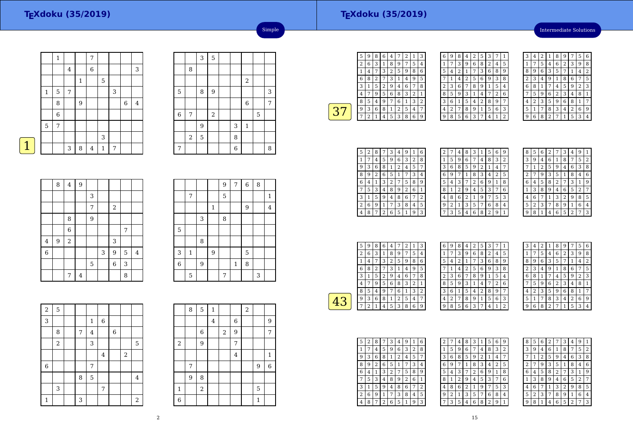### **TEXdoku (35/2019)**

Intermediate Solutions

|             |              | $\mathbf{1}$     |   |              | 7              |              |   |             |         |
|-------------|--------------|------------------|---|--------------|----------------|--------------|---|-------------|---------|
|             |              |                  | 4 |              | $\,$ 6 $\,$    |              |   |             | 3       |
|             |              |                  |   | $\mathbf{1}$ |                | 5            |   |             |         |
|             | $\mathbf{1}$ | 5                | 7 |              |                |              | 3 |             |         |
|             |              | 8                |   | 9            |                |              |   | $\,$ 6 $\,$ | $\,4\,$ |
|             |              | $\boldsymbol{6}$ |   |              |                |              |   |             |         |
|             | 5            | 7                |   |              |                |              |   |             |         |
|             |              |                  |   |              |                | 3            |   |             |         |
| $\mathbf 1$ |              |                  | 3 | 8            | $\overline{4}$ | $\mathbf{1}$ | 7 |             |         |
|             |              |                  |   |              |                |              |   |             |         |

|             |                | 3 | 5              |                |              |   |   |
|-------------|----------------|---|----------------|----------------|--------------|---|---|
|             | 8              |   |                |                |              |   |   |
|             |                |   |                |                | $\,2$        |   |   |
| 5           |                | 8 | 9              |                |              |   | 3 |
|             |                |   |                |                | 6            |   | 7 |
| $\,$ 6 $\,$ | 7              |   | $\overline{2}$ |                |              | 5 |   |
|             |                | 9 |                | 3              | $\mathbf{1}$ |   |   |
|             | $\overline{2}$ | 5 |                | 8              |              |   |   |
| $\sqrt{ }$  |                |   |                | $\overline{6}$ |              |   | 8 |

Simple

|                | 8     | $\overline{\mathbf{4}}$ | $\overline{9}$ |   |   |                         |   |                |
|----------------|-------|-------------------------|----------------|---|---|-------------------------|---|----------------|
|                |       |                         |                | 3 |   |                         |   |                |
|                |       |                         |                | 7 |   | $\overline{\mathbf{c}}$ |   |                |
|                |       | 8                       |                | 9 |   |                         |   |                |
|                |       | 6                       |                |   |   |                         | 7 |                |
| $\bf 4$        | $9\,$ | $\,2$                   |                |   |   | 3                       |   |                |
| $\overline{6}$ |       |                         |                |   | 3 | $\overline{9}$          | 5 | $\overline{4}$ |
|                |       |                         |                | 5 |   | $\overline{6}$          | 3 |                |
|                |       | 7                       | $\overline{4}$ |   |   |                         | 8 |                |

|                |              |   |              | 9 | $\sqrt{7}$ | $\,$ 6 $\,$ | 8 |                |
|----------------|--------------|---|--------------|---|------------|-------------|---|----------------|
|                | 7            |   |              | 5 |            |             |   | $\mathbf{1}$   |
|                |              |   | $\mathbf{1}$ |   |            | 9           |   | $\overline{4}$ |
|                |              | 3 |              | 8 |            |             |   |                |
| 5              |              |   |              |   |            |             |   |                |
|                |              | 8 |              |   |            |             |   |                |
| 3              | $\mathbf{1}$ |   | 9            |   |            | 5           |   |                |
| $\overline{6}$ |              | 9 |              |   | $1\,$      | 8           |   |                |
|                | 5            |   |              | 7 |            |             | 3 |                |

| $\overline{a}$ | 5     |   |              |         |             |            |                  |
|----------------|-------|---|--------------|---------|-------------|------------|------------------|
| 3              |       |   | $\mathbf{1}$ | $\,6\,$ |             |            |                  |
|                | 8     | 7 | $\bf 4$      |         | $\,$ 6 $\,$ |            |                  |
|                | $\,2$ |   | 3            |         |             |            | $\overline{5}$   |
|                |       |   |              | $\bf 4$ |             | $\sqrt{2}$ |                  |
| 6              |       |   | 7            |         |             |            |                  |
|                |       | 8 | 5            |         |             |            | $\overline{4}$   |
|                | 3     |   |              | 7       |             |            |                  |
| $\mathbf{1}$   |       | 3 |              |         |             |            | $\boldsymbol{2}$ |

|                | 8 | $5 \mid$ | $\mathbf{1}$ |   |                | $\overline{\mathbf{c}}$ |   |              |
|----------------|---|----------|--------------|---|----------------|-------------------------|---|--------------|
|                |   |          | 4            |   | $\overline{6}$ |                         |   | 9            |
|                |   | $\,6$    |              | 2 | 9              |                         |   | 7            |
| $\sqrt{2}$     |   | 9        |              |   | 7              |                         |   |              |
|                |   |          |              |   | $\overline{4}$ |                         |   | $\mathbf{1}$ |
|                | 7 |          |              |   |                |                         | 9 | $\,6$        |
|                | 9 | 8        |              |   |                |                         |   |              |
| $\mathbf{1}$   |   | $\,2$    |              |   |                |                         | 5 |              |
| $\overline{6}$ |   |          |              |   |                |                         | 1 |              |

| 5 | 9 | 8 | 6 | 4 | 7 | 2 |   | 3 |
|---|---|---|---|---|---|---|---|---|
| 2 | 6 | 3 | 1 | 8 | 9 | 7 | 5 | 4 |
|   | 4 |   | З | 2 | 5 | 9 | 8 | 6 |
| 6 | 8 | 2 | 7 | 3 | 1 | 4 | 9 | 5 |
| 3 |   | 5 | 2 | 9 | 4 | 6 | 7 | 8 |
| 4 | 7 | 9 | 5 | 6 | 8 | 3 | 2 | 1 |
| 8 | 5 | 4 | 9 | 7 | 6 | 1 | 3 | 2 |
| 9 | 3 | 6 | 8 | 1 | 2 | 5 | 4 | 7 |
|   | 2 |   | 4 | 5 | 3 | 8 | 6 | 9 |
|   |   |   |   |   |   |   |   |   |

| 6 | 9 | 8 | 4 | 2 | 5 | 3              | 7 | 1 |  |
|---|---|---|---|---|---|----------------|---|---|--|
| 1 | 7 | 3 | 9 | 6 | 8 | $\overline{2}$ | 4 | 5 |  |
| 5 | 4 | 2 | 1 | 7 | 3 | 6              | 8 | 9 |  |
|   | 1 | 4 | 2 | 5 | 6 | 9              | 3 | 8 |  |
| 2 | 3 | 6 | 7 | 8 | 9 | 1              | 5 | 4 |  |
| 8 | 5 | 9 | 3 | 1 | 4 | 7              | 2 | 6 |  |
| 3 | 6 | 1 | 5 | 4 | 2 | 8              | 9 | 7 |  |
| 4 | 2 | 7 | 8 | 9 | 1 | 5              | 6 | 3 |  |
| 9 | 8 | 5 | 6 | 3 | 7 | 4              | 1 | 2 |  |

| 3 | 4 | 2 | 1              | 8 | 9              | 7 | 5 | 6 |
|---|---|---|----------------|---|----------------|---|---|---|
| 1 | 7 | 5 | 4              | 6 | $\overline{2}$ | 3 | 9 | 8 |
| 8 | 9 | 6 | 3              | 5 | 7              | 1 | 4 | 2 |
| 2 | 3 | 4 | 9              | 1 | 8              | 6 | 7 | 5 |
| 6 | 8 | 1 | 7              | 4 | 5              | 9 | 2 | 3 |
| 7 | 5 | 9 | 6              | 2 | 3              | 4 | 8 | 1 |
| 4 | 2 | 3 | 5              | 9 | 6              | 8 | 1 | 7 |
| 5 | 1 | 7 | 8              | 3 | 4              | 2 | 6 | 9 |
| g | 6 | 8 | $\overline{2}$ | 7 | 1              | 5 | 3 | 4 |

| 5 | 2 | 8 |   | З | 4 | 9 | 1 | 6 |
|---|---|---|---|---|---|---|---|---|
|   |   | 4 | 5 | 9 | 6 | З | 2 | 8 |
| 9 | 3 | 6 | 8 | 1 | 2 | 4 | 5 | 7 |
| 8 | 9 | 2 | 6 | 5 | 1 |   | 3 | 4 |
| 6 | 4 | 1 | 3 | 2 | 7 | 5 | 8 | 9 |
|   | 5 | 3 | 4 | 8 | 9 | 2 | 6 | 1 |
| 3 | 1 | 5 | 9 | 4 | 8 | 6 | 7 | 2 |
| 2 | 6 | 9 | 1 | 7 | 3 | 8 | 4 | 5 |
| 4 | 8 |   | 2 | 6 | 5 | 1 | 9 | 3 |

| 2 |   | 4 | 8 | З | 1              | 5 | 6 | g            |
|---|---|---|---|---|----------------|---|---|--------------|
| 1 | 5 | 9 | 6 | 7 | 4              | 8 | 3 | 2            |
| 3 | 6 | 8 | 5 | 9 | $\overline{c}$ | 1 | 4 | 7            |
| 6 | 9 |   | 1 | 8 | 3              | 4 | 2 | 5            |
| 5 | 4 | 3 |   | 2 | 6              | 9 | 1 | 8            |
| 8 | 1 | 2 | 9 | 4 | 5              | 3 | 7 | 6            |
| 4 | 8 | 6 | 2 | 1 | 9              | 7 | 5 | 3            |
| 9 | 2 | 1 | 3 | 5 | 7              | 6 | 8 | 4            |
| 7 | 3 | 5 | 4 | 6 | 8              | 2 | 9 | $\mathbf{1}$ |
|   |   |   |   |   |                |   |   |              |

| 8 | 5 | 6 | 2 |   | 3 | 4 | 9              | ı              |
|---|---|---|---|---|---|---|----------------|----------------|
| 3 | 9 | 4 | 6 | 1 | 8 | 7 | 5              | $\overline{2}$ |
|   | 1 | 2 | 5 | 9 | 4 | 6 | 3              | 8              |
| 2 |   | 9 | 3 | 5 | 1 | 8 | 4              | 6              |
| 6 | 4 | 5 | 8 | 2 | 7 | З | 1              | 9              |
| 1 | 3 | 8 | 9 | 4 | 6 | 5 | $\overline{2}$ | 7              |
| 4 | 6 |   | 1 | 3 | 2 | 9 | 8              | 5              |
| 5 | 2 | 3 | 7 | 8 | 9 | 1 | 6              | 4              |
|   | 8 | 1 | 4 | 6 | 5 | 2 |                | 3              |

|   | 5 | 9 | 8 | 6 | 4 |   | 2 |   | 3 |  |
|---|---|---|---|---|---|---|---|---|---|--|
|   | 2 | 6 | 3 | 1 | 8 | 9 | 7 | 5 | 4 |  |
|   |   | 4 | 7 | 3 | 2 | 5 | 9 | 8 | 6 |  |
|   | 6 | 8 | 2 | 7 | 3 | 1 | 4 | 9 | 5 |  |
|   | 3 | 1 | 5 | 2 | 9 | 4 | 6 | 7 | 8 |  |
|   | 4 |   | 9 | 5 | 6 | 8 | 3 | 2 | 1 |  |
|   | 8 | 5 | 4 | 9 | 7 | 6 | 1 | 3 | 2 |  |
| 4 | 9 | 3 | 6 | 8 | 1 | 2 | 5 | 4 | 7 |  |
|   |   | 2 |   | 4 | 5 | 3 | 8 | 6 | 9 |  |

| 6 | 9 | 8 | 4              | 2 |   |   |   | 1           |  |
|---|---|---|----------------|---|---|---|---|-------------|--|
| 1 | 7 | 3 | 9              | 6 | 8 | 2 | 4 | 5           |  |
| 5 | 4 | 2 | 1              | 7 | 3 | 6 | 8 | 9           |  |
|   | 1 | 4 | $\overline{2}$ | 5 | 6 | 9 | 3 | 8           |  |
| 2 | 3 | 6 | 7              | 8 | 9 | 1 | 5 | 4           |  |
| 8 | 5 | 9 | 3              | 1 | 4 | 7 | 2 | 6           |  |
| 3 | 6 | 1 | 5              | 4 | 2 | 8 | 9 | 7           |  |
| 4 | 2 | 7 | 8              | 9 | 1 | 5 | 6 | 3           |  |
| 9 | 8 | 5 | 6              | 3 | 7 | 4 | 1 | 2           |  |
|   |   |   |                |   |   |   |   | 3<br>5<br>7 |  |

| З            | 4 | $\overline{2}$ | 1              | 8              | 9              |   | 5              | 6 |
|--------------|---|----------------|----------------|----------------|----------------|---|----------------|---|
| 1            | 7 | 5              | 4              | 6              | $\overline{2}$ | 3 | 9              | 8 |
| 8            | 9 | 6              | 3              | 5              | 7              | 1 | 4              | 2 |
| 2            | 3 | 4              | 9              | 1              | 8              | 6 | 7              | 5 |
| 6            | 8 | 1              | 7              | 4              | 5              | 9 | $\overline{2}$ | 3 |
| 7            | 5 | 9              | 6              | $\overline{2}$ | 3              | 4 | 8              | 1 |
| 4            | 2 | 3              | 5              | 9              | 6              | 8 | $\mathbf{1}$   | 7 |
| 5            | 1 | 7              | 8              | 3              | 4              | 2 | 6              | 9 |
| $\mathbf{Q}$ | 6 | 8              | $\overline{2}$ | 7              | 1              | 5 | 3              | 4 |

| 5 | 2 | 8 |                | 3 | 4 | 9              | 1 | 6 |
|---|---|---|----------------|---|---|----------------|---|---|
|   | 7 | 4 | 5              | 9 | 6 | 3              | 2 | 8 |
| 9 | 3 | 6 | 8              | 1 | 2 | 4              | 5 | 7 |
| 8 | 9 | 2 | 6              | 5 | 1 |                | 3 | 4 |
| 6 | 4 | 1 | 3              | 2 | 7 | 5              | 8 | 9 |
|   | 5 | 3 | 4              | 8 | 9 | $\overline{c}$ | 6 | 1 |
| 3 | 1 | 5 | 9              | 4 | 8 | 6              | 7 | 2 |
| 2 | 6 | 9 | 1              | 7 | 3 | 8              | 4 | 5 |
| 4 | 8 |   | $\overline{2}$ | 6 | 5 |                | 9 | 3 |

| 2 |                | 4 | 8              | 3              | 1              | 5              | 6              | 9 |
|---|----------------|---|----------------|----------------|----------------|----------------|----------------|---|
| 1 | 5              | 9 | 6              | 7              | 4              | 8              | 3              | 2 |
| 3 | 6              | 8 | 5              | 9              | $\overline{2}$ | 1              | 4              | 7 |
| 6 | 9              | 7 | 1              | 8              | 3              | 4              | $\overline{2}$ | 5 |
| 5 | 4              | 3 | 7              | $\overline{2}$ | 6              | 9              | 1              | 8 |
| 8 | 1              | 2 | 9              | 4              | 5              | 3              | 7              | 6 |
| 4 | 8              | 6 | $\overline{2}$ | 1              | 9              | 7              | 5              | 3 |
| 9 | $\overline{2}$ | 1 | 3              | 5              | 7              | 6              | 8              | 4 |
|   | 3              | 5 | 4              | 6              | 8              | $\overline{2}$ | 9              | 1 |

| 8              | 5 | 6 | $\overline{2}$ | 7 | 3 | $\overline{4}$ | 9 | 1 |
|----------------|---|---|----------------|---|---|----------------|---|---|
| 3              | 9 | 4 | 6              | 1 | 8 | 7              | 5 | 2 |
|                | 1 | 2 | 5              | 9 | 4 | 6              | 3 | 8 |
| $\overline{2}$ | 7 | 9 | 3              | 5 | 1 | 8              | 4 | 6 |
| 6              | 4 | 5 | 8              | 2 | 7 | 3              | 1 | 9 |
| 1              | 3 | 8 | 9              | 4 | 6 | 5              | 2 | 7 |
| 4              | 6 | 7 | 1              | 3 | 2 | 9              | 8 | 5 |
| 5              | 2 | 3 | 7              | 8 | 9 | 1              | 6 | 4 |
| 9              | 8 | 1 | 4              | 6 | 5 | $\overline{2}$ | 7 | 3 |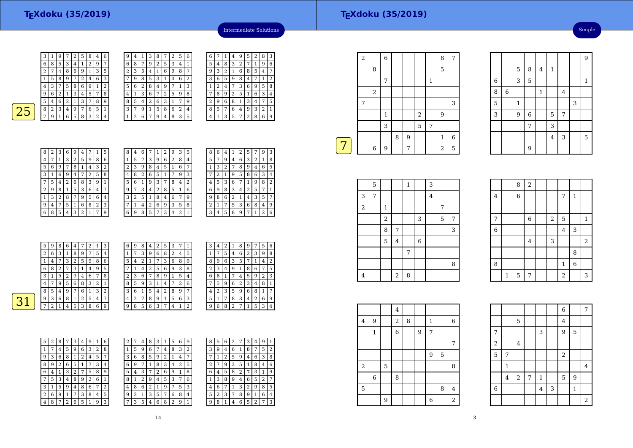| 3 |   | 9 |   | 2 | 5 | 8 | 4 | 6 | 9 | 4 | 1 |
|---|---|---|---|---|---|---|---|---|---|---|---|
| 6 | 8 | 5 | 3 | 4 | 1 | 2 | 9 | 7 | 6 | 8 |   |
| 2 |   | 4 | 8 | 6 | 9 |   | 3 | 5 | 2 | 3 | 5 |
|   | 5 | 8 | 9 | 7 | 2 | 4 | 6 | 3 |   | 9 | 8 |
| 4 | 3 | 7 | 5 | 8 | 6 | 9 | 1 | 2 | 5 | 6 | 2 |
| 9 | 6 | 2 | 1 | 3 | 4 | 5 | 7 | 8 | 4 | 1 | 3 |
| 5 | 4 | 6 | 2 | 1 | 3 |   | 8 | 9 | 8 | 5 | 4 |
| 8 | 2 | 3 | 4 | 9 | 7 | 6 | 5 | 1 | 3 | 7 | 9 |
| 7 | 9 |   | 6 | 5 | 8 | 3 | 2 | 4 |   | 2 | 6 |
|   |   |   |   |   |   |   |   |   |   |   |   |

| 9 | 4 |                | З | 8 |        |   | 5 | 6              | 6 |   |   | 4 | 9 | 5 |   | 8 | 3 |
|---|---|----------------|---|---|--------|---|---|----------------|---|---|---|---|---|---|---|---|---|
| 6 | 8 | 7              | 9 | 2 | 5      | 3 | 4 |                | 5 | 4 | 8 | 3 | 2 | 7 | 1 | 9 | 6 |
| 2 | 3 | 5              | 4 | 1 | 6      | 9 | 8 | 7              | 9 | 3 | 2 | 1 | 6 | 8 | 5 | 4 | 7 |
| 7 | 9 | 8              | 5 | 3 |        | 4 | 6 | $\overline{2}$ | 3 | 6 | 5 | 9 | 8 | 4 |   |   | 2 |
| 5 | 6 | $\overline{2}$ | 8 | 4 | 9      |   | 1 | 3              | 1 | 2 | 4 | 7 | 3 | 6 | 9 | 5 | 8 |
| 4 | 1 | 3              | 6 | 7 | ∍<br>4 | 5 | 9 | 8              | 7 | 8 | 9 | 2 | 5 | 1 | 6 | 3 | 4 |
| 8 | 5 | 4              | 2 | 6 | 3      |   |   | 9              | 2 | 9 | 6 | 8 | 1 | 3 | 4 |   | 5 |
| 3 | 7 | 9              |   | 5 | 8      | 6 | 2 | 4              | 8 | 5 | 7 | 6 | 4 | 9 | 3 | 2 |   |
| 1 | 2 | 6              | ⇁ | 9 | 4      | 8 | 3 | 5              | 4 | 1 | 3 | 5 | ⇁ | 2 | 8 | 6 | 9 |
|   |   |                |   |   |        |   |   |                |   |   |   |   |   |   |   |   |   |



| 8 | $\overline{2}$ | 3 | 6 | 9 | 4              | 7 | 1 | 5              |  |
|---|----------------|---|---|---|----------------|---|---|----------------|--|
| 4 | 7              | 1 | 3 | 2 | 5              | 9 | 8 | 6              |  |
| 5 | 6              | 9 |   | 8 | 1              | 4 | 3 | $\overline{2}$ |  |
| 3 | 1              | 6 | 9 | 4 |                | 2 | 5 | 8              |  |
|   | 5              | 4 | 2 | 6 | 8              | 3 | 9 | 1              |  |
| 2 | 9              | 8 | 1 | 5 | 3              | 6 | 4 | 7              |  |
| 1 | 3              | 2 | 8 | 7 | 9              | 5 | 6 | 4              |  |
| 9 | 4              | 7 | 5 | 1 | 6              | 8 | 2 | 3              |  |
| 6 | 8              | 5 | 4 | 3 | $\overline{2}$ | 1 | 7 | 9              |  |

 $93$ 

4 8

 $\overline{7}$ 

 $|1|$ 

| 8              | 4 | 6 |   | 1 | 2 | 9              | З | 5              |  |
|----------------|---|---|---|---|---|----------------|---|----------------|--|
|                | 5 |   | 3 | 9 | 6 | $\overline{2}$ | 8 | 4              |  |
| $\overline{2}$ | 3 | 9 | 8 | 4 | 5 | 1              | 6 | 7              |  |
| 4              | 8 | 2 | 6 | 5 |   |                | 9 | 3              |  |
| 5              | 6 | 1 | 9 | 3 | 7 | 8              | 4 | $\overline{2}$ |  |
| 9              |   | 3 | 4 | 2 | 8 | 5              | 1 | 6              |  |
| 3              | 2 | 5 | 1 | 8 | 4 | 6              |   | 9              |  |
|                | 1 | 4 | 2 | 6 | 9 | 3              | 5 | 8              |  |
| 6              | 9 | 8 | 5 | 7 | 3 | 4              | 2 | 1              |  |

|   |   |   | 1 |   |   |        |   | 3              |
|---|---|---|---|---|---|--------|---|----------------|
| 5 |   | 9 | 4 | 6 | 3 | 2      | 1 | 8              |
|   | 3 | 2 | 7 | 8 | 9 | 4      | 6 | 5              |
|   | 2 | 1 | 9 | 5 | 8 | 6      | 3 | 4              |
| 4 | 5 | 3 | 6 | 7 | 1 | 9      | 8 | $\overline{2}$ |
| 6 | 9 | 8 | 3 | 4 | 2 | 5      |   | 1              |
| 9 | 8 | 6 | 2 | 1 | 4 | 3      | 5 | 7              |
| 2 | 1 | 7 | 5 | 3 | 6 | 8      | 4 | 9              |
| 3 | 4 | 5 | 8 | 9 | 7 | 1      | 2 | 6              |
|   | 8 | 6 | 4 |   |   | 2<br>5 |   | 9              |

Intermediate Solutions

|   | 5              | 9 | 8 | 6 | 4 | 7 | 2 |   | 3 | 6 | 9 | 8 | 4 | 2 | 5 | 3 <sup>1</sup> | 7 |   | 3 | 4 | 2              |   | 8 | 9              | 7             | 5 6            |                |
|---|----------------|---|---|---|---|---|---|---|---|---|---|---|---|---|---|----------------|---|---|---|---|----------------|---|---|----------------|---------------|----------------|----------------|
|   | 2              | 6 | 3 |   | 8 | 9 | 7 | 5 | 4 |   | 7 | 3 | 9 | 6 | 8 | 2.             | 4 | 5 |   |   | 5              | 4 | 6 | 2              | 3             | 9              | 8              |
|   |                | 4 | 7 | 3 | ∍ | 5 | 9 | 8 | 6 | 5 | 4 | 2 |   | 7 | 3 | 6              | 8 | 9 | 8 | 9 | 6              | 3 | 5 | 7              |               | 4              | $\overline{2}$ |
|   | 6              | 8 | 2 | 7 | 3 |   | 4 | 9 | 5 |   |   | 4 | 2 | 5 | 6 | 9.             | 3 | 8 | ∍ | 3 | $\overline{4}$ | 9 |   | 8              | 6             | 7              | 5              |
|   | 3              | 1 | 5 | 2 | 9 | 4 | 6 | 7 | 8 |   | 3 | 6 | 7 | 8 | 9 |                | 5 | 4 | 6 | 8 |                | 7 | 4 | 5              | 9             | 2 3            |                |
|   | 4              | 7 | 9 | 5 | 6 | 8 | 3 | 2 |   | 8 | 5 | 9 | 3 |   | 4 |                | 2 | 6 | ⇁ | 5 | 9.             | 6 | 2 | 3              | 4             | 8              | $\perp$        |
|   | 8              | 5 | 4 | 9 | ⇁ | 6 |   | 3 | 2 |   | 6 |   | 5 | 4 | 2 | 8              | 9 | 7 |   | 2 | 3              | 5 | 9 | 6              | 8             |                | . 7            |
| ว | 9              | 3 | 6 | 8 |   | 2 | 5 | 4 | 7 | 4 | 2 | 7 | 8 | 9 |   | 5              | 6 | 3 | 5 |   | 7              | 8 | 3 | $\overline{4}$ | $\mathcal{L}$ | 6 <sup>1</sup> | <u>9</u>       |
|   | $\overline{ }$ | 2 | 1 | 4 | 5 | 3 | 8 | 6 | 9 | 9 | 8 | 5 | 6 | 3 | 7 | 4              |   | 2 | 9 | 6 | 8              | 2 | 7 | 1              | 5             | 3 4            |                |
|   |                |   |   |   |   |   |   |   |   |   |   |   |   |   |   |                |   |   |   |   |                |   |   |                |               |                |                |

| 5 | 2 | 8 |        | З | 4 | 9 |                | 6 |   |   | 4 | 8 | 3 |   | 5 | 6 | 9 |
|---|---|---|--------|---|---|---|----------------|---|---|---|---|---|---|---|---|---|---|
| 1 | 7 | 4 | 5      | 9 | 6 | 3 | $\overline{2}$ | 8 | 1 | 5 | 9 | 6 | 7 | 4 | 8 | 3 | 2 |
| 9 | 3 | 6 | 8      |   | 2 | 4 | 5              | 7 | 3 | 6 | 8 | 5 | 9 | 2 | 1 | 4 | 7 |
| 8 | 9 | 2 | 6      | 5 | 1 | 7 | 3              | 4 | 6 | 9 | ¬ |   | 8 | 3 | 4 | 2 | 5 |
| 6 | 4 |   | 3      | 2 | 7 | 5 | 8              | 9 | 5 | 4 | 3 | 7 | 2 | 6 | 9 | 1 | 8 |
| 7 | 5 | 3 | 4      | 8 | 9 | 2 | 6              | 1 | 8 | 1 | 2 | 9 | 4 | 5 | 3 | 7 | 6 |
| 3 | 1 | 5 | 9      | 4 | 8 | 6 | 7              | 2 | 4 | 8 | 6 | 2 | 1 | 9 | 7 | 5 | 3 |
| 2 | 6 | 9 | 1      | 7 | 3 | 8 | 4              | 5 | 9 | 2 | 1 | 3 | 5 | 7 | 6 | 8 | 4 |
|   | 8 | 7 | ົ<br>4 | 6 | 5 | 1 | 9              | 3 | 7 | 3 | 5 | 4 | 6 | 8 | 2 | 9 |   |

| 8 | 5 | 6 | 2 | 7 | 3 | 4 | 9 | 1 |
|---|---|---|---|---|---|---|---|---|
| 3 | 9 | 4 | 6 | 1 | 8 | 7 | 5 | 2 |
|   | 1 | 2 | 5 | 9 | 4 | 6 | 3 | 8 |
| 2 | 7 | 9 | 3 | 5 | 1 | 8 | 4 | 6 |
| 6 | 4 | 5 | 8 | 2 | 7 | 3 | 1 | 9 |
| 1 | 3 | 8 | 9 | 4 | 6 | 5 | 2 | 7 |
| 4 | 6 | 7 | 1 | 3 | 2 | 9 | 8 | 5 |
| 5 | 2 | 3 | 7 | 8 | 9 | 1 | 6 | 4 |
| 9 | 8 | 1 | 4 | 6 | 5 | 2 | 7 | 3 |
|   |   |   |   |   |   |   |   |   |

|   | $\sqrt{2}$ |       | 6           |   |   |                |              | 8              | 7 |
|---|------------|-------|-------------|---|---|----------------|--------------|----------------|---|
|   |            | 8     |             |   |   |                |              | 5              |   |
|   |            |       | 7           |   |   |                | $\mathbf{1}$ |                |   |
|   |            | $\,2$ |             |   |   |                |              |                |   |
|   | 7          |       |             |   |   |                |              |                | 3 |
|   |            |       | $\mathbf 1$ |   |   | $\overline{2}$ |              | 9              |   |
|   |            |       | 3           |   |   | 5              | 7            |                |   |
|   |            |       |             | 8 | 9 |                |              | $\mathbf{1}$   | 6 |
| 7 |            | 6     | 9           |   | 7 |                |              | $\overline{a}$ | 5 |
|   |            |       |             |   |   |                |              |                |   |

|       | 5 |             |            | $\mathbf{1}$ |         | 3              |   |   |
|-------|---|-------------|------------|--------------|---------|----------------|---|---|
| 3     | 7 |             |            |              |         | $\overline{4}$ |   |   |
| $\,2$ |   | 1           |            |              |         |                | 7 |   |
|       |   | 2           |            |              | 3       |                | 5 | 7 |
|       |   | 8           | 7          |              |         |                |   | 3 |
|       |   | $\mathbf 5$ | $\bf 4$    |              | $\,6\,$ |                |   |   |
|       |   |             |            | 7            |         |                |   |   |
|       |   |             |            |              |         |                |   | 8 |
| 4     |   |             | $\sqrt{2}$ | 8            |         |                |   |   |

|                |              | $\, 8$ | $\,2$       |                |                |                |         |
|----------------|--------------|--------|-------------|----------------|----------------|----------------|---------|
| $\bf{4}$       |              | 6      |             |                | 7              | $\,1\,$        |         |
|                |              |        |             |                |                |                |         |
| $\overline{7}$ |              |        | $\,$ 6 $\,$ | $\overline{a}$ | 5              |                | $\,1\,$ |
| $\overline{6}$ |              |        |             |                | $\overline{4}$ | 3              |         |
|                |              |        | $\bf 4$     | 3              |                |                | $\,2$   |
|                |              |        |             |                |                | 8              |         |
| 8              |              |        |             |                | $\mathbf 1$    | $\overline{6}$ |         |
|                | $\mathbf{1}$ | 5      | 7           |                | $\overline{a}$ |                | 3       |

 $\frac{5}{8}$   $\frac{8}{4}$ 

 <sup>9</sup> <sup>6</sup> <sup>5</sup> <sup>7</sup>7

9

8 6 1

<sup>1</sup>

6

8

5

3

 $\vert 4 \vert 1$ 

 $1 \mid 4$ 

<sup>3</sup>

 $\frac{4}{3}$  5

 $\frac{1}{3}$  3

<sup>3</sup> <sup>5</sup> <sup>1</sup>

Simple

9

|            |             |                | 4              |   |   |                |             |                |
|------------|-------------|----------------|----------------|---|---|----------------|-------------|----------------|
| $\bf 4$    | 9           |                | $\sqrt{2}$     | 8 |   | 1              |             | $\,$ 6 $\,$    |
|            | $\mathbf 1$ |                | $\overline{6}$ |   | 9 | 7              |             |                |
|            |             |                |                |   |   |                |             | 7              |
|            |             |                |                |   |   | 9              | $\mathbf 5$ |                |
| $\sqrt{2}$ |             | $\overline{5}$ |                |   |   |                |             | 8              |
|            | $\,$ 6 $\,$ |                | 8              |   |   |                |             |                |
| 5          |             |                |                |   |   |                | 8           | $\overline{4}$ |
|            |             | 9              |                |   |   | $\overline{6}$ |             | $\overline{2}$ |

|                         |              |            |   |                |   | $\overline{6}$ |                | $\overline{7}$ |
|-------------------------|--------------|------------|---|----------------|---|----------------|----------------|----------------|
|                         |              | 5          |   |                |   | $\bf 4$        |                |                |
| 7                       |              |            |   | 3              |   | 9              | 5              |                |
| $\overline{\mathbf{c}}$ |              | $\bf 4$    |   |                |   |                |                |                |
| 5                       | 7            |            |   |                |   | $\overline{a}$ |                |                |
|                         | $\mathbf{1}$ |            |   |                |   |                |                | $\overline{4}$ |
|                         | $\bf 4$      | $\sqrt{2}$ | 7 | $\mathbf 1$    |   | 5              | $\overline{9}$ |                |
| 6                       |              |            |   | $\overline{4}$ | 3 |                | $\mathbf{1}$   |                |
|                         |              |            |   |                |   |                |                | $\overline{a}$ |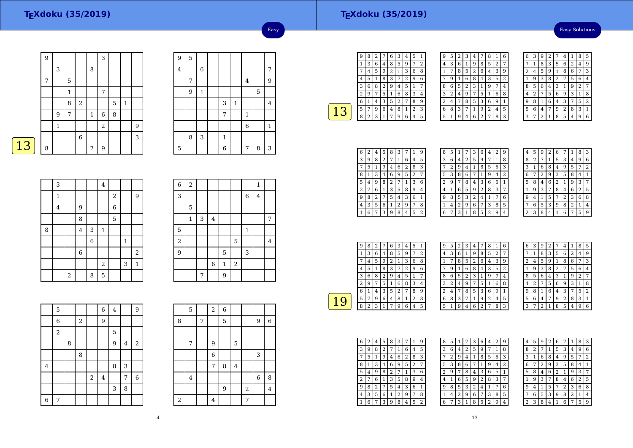### Easy Solutions

|   | 9 |                |   |                |              | 3          |   |              |   |
|---|---|----------------|---|----------------|--------------|------------|---|--------------|---|
|   |   | 3              |   |                | 8            |            |   |              |   |
|   | 7 |                | 5 |                |              |            |   |              |   |
|   |   |                | 1 |                |              | 7          |   |              |   |
|   |   |                | 8 | $\overline{2}$ |              |            | 5 | $\mathbf{1}$ |   |
|   |   | $\overline{9}$ | 7 |                | $\mathbf{1}$ | $\,6$      | 8 |              |   |
|   |   | $\mathbf{1}$   |   |                |              | $\sqrt{2}$ |   |              | 9 |
|   |   |                |   | $\,$ 6         |              |            |   |              | 3 |
| 3 | 8 |                |   |                | 7            | 9          |   |              |   |

| 9              | 5 |             |              |              |                         |   |                |
|----------------|---|-------------|--------------|--------------|-------------------------|---|----------------|
| $\overline{4}$ |   | $\,$ 6 $\,$ |              |              |                         |   | 7              |
|                | 7 |             |              |              | $\overline{\mathbf{4}}$ |   | 9              |
|                | 9 | $\mathbf 1$ |              |              |                         | 5 |                |
|                |   |             | 3            | $\mathbf{1}$ |                         |   | $\overline{4}$ |
|                |   |             | 7            |              | $\mathbf{1}$            |   |                |
|                |   |             |              |              | $\overline{6}$          |   | $\mathbf{1}$   |
|                | 8 | 3           | $\mathbf{1}$ |              |                         |   |                |
| 5              |   |             | 6            |              | 7                       | 8 | 3              |

Easy

| <b>CONTRACTOR</b> |  |
|-------------------|--|
|                   |  |

|   | 3                       |                |                         |   | $\overline{4}$ |                |             |              |
|---|-------------------------|----------------|-------------------------|---|----------------|----------------|-------------|--------------|
|   | $\mathbf 1$             |                |                         |   |                | $\sqrt{2}$     |             | 9            |
|   | $\overline{\mathbf{4}}$ |                | 9                       |   |                | $\overline{6}$ |             |              |
|   |                         |                | 8                       |   |                | 5              |             |              |
| 8 |                         |                | $\overline{\mathbf{4}}$ | 3 | $\mathbf{1}$   |                |             |              |
|   |                         |                |                         | 6 |                |                | $\mathbf 1$ |              |
|   |                         |                | $\overline{6}$          |   |                |                |             | $\,2$        |
|   |                         |                |                         |   | $\overline{2}$ |                | 3           | $\mathbf{1}$ |
|   |                         | $\overline{2}$ |                         | 8 | 5              |                |             |              |

| $\overline{6}$ | $\,2$        |   |         |             |   |             | $\mathbf{1}$   |   |
|----------------|--------------|---|---------|-------------|---|-------------|----------------|---|
| 3              |              |   |         |             |   | 6           | $\overline{4}$ |   |
|                | 5            |   |         |             |   |             |                |   |
|                | $\mathbf{1}$ | 3 | $\bf 4$ |             |   |             |                | 7 |
| 5              |              |   |         |             |   | $\mathbf 1$ |                |   |
| $\,2$          |              |   |         |             | 5 |             |                | 4 |
| $\overline{9}$ |              |   |         | 5           |   | 3           |                |   |
|                |              |   | $\,6\,$ | $\mathbf 1$ | 2 |             |                |   |
|                |              | 7 |         | 9           |   |             |                |   |

|                | 5              |   |       |       | $\,$ 6 $\,$             | $\bf 4$ |   | 9                |
|----------------|----------------|---|-------|-------|-------------------------|---------|---|------------------|
|                | $\overline{6}$ |   | $\,2$ |       | 9                       |         |   |                  |
|                | $\,2$          |   |       |       |                         | 5       |   |                  |
|                |                | 8 |       |       |                         | 9       | 4 | $\sqrt{2}$       |
|                |                |   | 8     |       |                         |         |   |                  |
| $\bf 4$        |                |   |       |       |                         | 8       | 3 |                  |
|                |                |   |       | $\,2$ | $\overline{\mathbf{4}}$ |         | 7 | $\boldsymbol{6}$ |
|                |                |   |       |       |                         | 3       | 8 |                  |
| $\overline{6}$ | 7              |   |       |       |                         |         |   |                  |

|             | 5              |   | 2                | 6 |                |       |             |         |
|-------------|----------------|---|------------------|---|----------------|-------|-------------|---------|
| 8           |                | 7 |                  | 5 |                |       | 9           | 6       |
|             |                |   |                  |   |                |       |             |         |
|             | 7              |   | 9                |   | 5              |       |             |         |
|             |                |   | $\boldsymbol{6}$ |   |                |       | 3           |         |
|             |                |   | 7                | 8 | $\overline{4}$ |       |             |         |
|             | $\overline{4}$ |   |                  |   |                |       | $\,$ 6 $\,$ | 8       |
|             |                |   |                  | 9 |                | $\,2$ |             | $\bf 4$ |
| $\,$ 2 $\,$ |                |   | 4                |   |                | 7     |             |         |

| 9 | 8 | 2 |   | 6 | 3 | 4 | 5 | $\mathbf{1}$ |
|---|---|---|---|---|---|---|---|--------------|
| 1 | 3 | 6 | 4 | 8 | 5 | 9 | 7 | 2            |
|   | 4 | 5 | 9 | 2 |   | 3 | 6 | 8            |
| 4 | 5 | 1 | 8 | 3 |   | 2 | 9 | 6            |
| 3 | 6 | 8 | 2 | 9 | 4 | 5 | 1 | 7            |
| 2 | 9 | 7 | 5 | 1 | 6 | 8 | 3 | 4            |
| 6 |   | 4 | 3 | 5 | 2 |   | 8 | 9            |
| 5 | 7 | 9 | 6 | 4 | 8 | 1 | 2 | 3            |
| 8 | 2 | 3 |   | 7 | 9 | 6 | 4 | 5            |
|   |   |   |   |   |   |   |   |              |

| 9 | 5 | 2 | 3              | 4 | 7              | 8 | 1 | 6 |  |
|---|---|---|----------------|---|----------------|---|---|---|--|
| 4 | 3 | 6 | 1              | 9 | 8              | 5 | 2 | 7 |  |
| 1 | 7 | 8 | 5              | 2 | 6              | 4 | 3 | 9 |  |
|   | 9 | 1 | 6              | 8 | 4              | 3 | 5 | 2 |  |
| 8 | 6 | 5 | $\overline{2}$ | 3 | 1              | 9 | 7 | 4 |  |
| 3 | 2 | 4 | 9              | 7 | 5              | 1 | 6 | 8 |  |
| 2 | 4 | 7 | 8              | 5 | 3              | 6 | 9 | 1 |  |
| 6 | 8 | 3 | 7              | 1 | 9              | 2 | 4 | 5 |  |
| 5 | 1 | g | 4              | 6 | $\overline{2}$ | 7 | 8 | 3 |  |

| 6 | 3 | 9 | 2 | 7 | 4 | 1              | 8 | 5              |
|---|---|---|---|---|---|----------------|---|----------------|
| 7 | 1 | 8 | 3 | 5 | 6 | $\overline{2}$ | 4 | 9              |
| 2 | 4 | 5 | 9 | 1 | 8 | 6              | 7 | 3              |
| 1 | 9 | 3 | 8 | 2 | 7 | 5              | 6 | 4              |
| 8 | 5 | 6 | 4 | 3 | 1 | 9              | 2 | 7              |
| 4 | 2 | 7 | 5 | 6 | 9 | 3              | 1 | 8              |
| 9 | 8 | 1 | 6 | 4 | 3 | 7              | 5 | $\overline{2}$ |
| 5 | 6 | 4 | 7 | 9 | 2 | 8              | 3 | 1              |
| 3 |   | 2 | 1 | 8 | 5 | 4              | 9 | 6              |

| 6 | 2 | 4 | 5 | 8 | З |   | 1              | 9 |
|---|---|---|---|---|---|---|----------------|---|
| З | 9 | 8 | 2 | 7 | 1 | 6 | 4              | 5 |
|   | 5 | 1 | 9 | 4 | 6 | 2 | 8              | 3 |
| 8 | 1 | 3 | 4 | 6 | 9 | 5 | $\overline{2}$ |   |
| 5 | 4 | 9 | 8 | 2 | 7 | 1 | 3              | 6 |
| 2 |   | 6 | 1 | 3 | 5 | 8 | 9              | 4 |
| 9 | 8 | 2 | 7 | 5 | 4 | 3 | 6              | 1 |
| 4 | 3 | 5 | 6 | 1 | 2 | 9 | 7              | 8 |
|   | 6 |   | 3 | 9 | 8 | 4 | 5              | 2 |

| 8              | 5              | 1                       | 7 | З | 6 | 4              | 2            | g              |
|----------------|----------------|-------------------------|---|---|---|----------------|--------------|----------------|
| 3              | 6              | $\overline{\mathbf{4}}$ | 2 | 5 | 9 | 7              | $\mathbf{1}$ | 8              |
|                | $\overline{2}$ | 9                       | 4 | 1 | 8 | 5              | 6            | 3              |
| 5              | 3              | 8                       | 6 |   | 1 | 9              | 4            | $\overline{2}$ |
| $\overline{2}$ | 9              | 7                       | 8 | 4 | 3 | 6              | 5            | $\mathbf{1}$   |
| 4              | 1              | 6                       | 5 | 9 | 2 | 8              | 3            | 7              |
| 9              | 8              | 5                       | 3 | 2 | 4 | 1              | 7            | 6              |
| 1              | $\overline{4}$ | 2                       | 9 | 6 | 7 | 3              | 8            | 5              |
| 6              | 7              | 3                       | 1 | 8 | 5 | $\overline{2}$ | 9            | 4              |
|                |                |                         |   |   |   |                |              |                |

| 4 | 5 | g | 2 | 6 |   | 1 | 8              | 3 |
|---|---|---|---|---|---|---|----------------|---|
| 8 | 2 | 7 | 1 | 5 | 3 | 4 | 9              | 6 |
| 3 | 1 | 6 | 8 | 4 | 9 | 5 |                | 2 |
| 6 |   | 2 | 9 | 3 | 5 | 8 | 4              | 1 |
| 5 | 8 | 4 | 6 | 2 | 1 | 9 | 3              | 7 |
| 1 | 9 | 3 | 7 | 8 | 4 | 6 | $\overline{2}$ | 5 |
| 9 | 4 | 1 | 5 | 7 | 2 | 3 | 6              | 8 |
|   | 6 | 5 | 3 | 9 | 8 | 2 | 1              | 4 |
|   | 3 | 8 | 4 |   | 6 |   | 5              | q |

| 9                       | 8 | 2 |   | 6 | 3 | 4 | 5 | 1 |
|-------------------------|---|---|---|---|---|---|---|---|
| 1                       | 3 | 6 | 4 | 8 | 5 | 9 | 7 | 2 |
|                         | 4 | 5 | 9 | 2 | 1 | 3 | 6 | 8 |
| 4                       | 5 | 1 | 8 | 3 | 7 | 2 | 9 | 6 |
| 3                       | 6 | 8 | 2 | 9 | 4 | 5 | 1 | 7 |
| $\overline{\mathbf{c}}$ | 9 | 7 | 5 | 1 | 6 | 8 | 3 | 4 |
| 6                       | 1 | 4 | 3 | 5 | 2 | 7 | 8 | 9 |
| 5                       | 7 | 9 | 6 | 4 | 8 | 1 | 2 | 3 |
| 8                       | 2 | 3 |   | 7 | 9 | 6 | 4 | 5 |
|                         |   |   |   |   |   |   |   |   |

| 9 | 5 | 2 | 3              | 4 | 7 | 8 | $\mathbf{1}$ | 6              |  |
|---|---|---|----------------|---|---|---|--------------|----------------|--|
| 4 | 3 | 6 | 1              | 9 | 8 | 5 | 2            | 7              |  |
| 1 |   | 8 | 5              | 2 | 6 | 4 | 3            | 9              |  |
| 7 | 9 | 1 | 6              | 8 | 4 | 3 | 5            | $\overline{2}$ |  |
| 8 | 6 | 5 | $\overline{2}$ | 3 | 1 | 9 | 7            | 4              |  |
| 3 | 2 | 4 | 9              | 7 | 5 | 1 | 6            | 8              |  |
| 2 | 4 | 7 | 8              | 5 | 3 | 6 | 9            | 1              |  |
| 6 | 8 | 3 | 7              | 1 | 9 | 2 | 4            | 5              |  |
| 5 | 1 | 9 | 4              | 6 | 2 | 7 | 8            | 3              |  |

| 6              | 3 | 9              | $\overline{2}$ | 7 | 4 | 1              | 8              | 5 |
|----------------|---|----------------|----------------|---|---|----------------|----------------|---|
| 7              | 1 | 8              | 3              | 5 | 6 | $\overline{2}$ | 4              | 9 |
| $\overline{c}$ | 4 | 5              | 9              | 1 | 8 | 6              | 7              | 3 |
| 1              | 9 | 3              | 8              | 2 | 7 | 5              | 6              | 4 |
| 8              | 5 | 6              | 4              | 3 | 1 | 9              | $\overline{2}$ | 7 |
| 4              | 2 | 7              | 5              | 6 | 9 | 3              | 1              | 8 |
| 9              | 8 | 1              | 6              | 4 | 3 | 7              | 5              | 2 |
| 5              | 6 | 4              | 7              | 9 | 2 | 8              | 3              | 1 |
| 3              | 7 | $\overline{2}$ | 1              | 8 | 5 | 4              | 9              | 6 |

| 6 | $\overline{2}$ | 4 | 5 | 8 | З |   |   | 9 |
|---|----------------|---|---|---|---|---|---|---|
| 3 | 9              | 8 | 2 | 7 | 1 | 6 | 4 | 5 |
| 7 | 5              | 1 | 9 | 4 | 6 | 2 | 8 | 3 |
| 8 | 1              | 3 | 4 | 6 | 9 | 5 | 2 | 7 |
| 5 | 4              | 9 | 8 | 2 | 7 | 1 | 3 | 6 |
| 2 | 7              | 6 | 1 | 3 | 5 | 8 | 9 | 4 |
| g | 8              | 2 | 7 | 5 | 4 | 3 | 6 | 1 |
| 4 | 3              | 5 | 6 | 1 | 2 | 9 | 7 | 8 |
|   | 6              | 7 | 3 | 9 | 8 | 4 | 5 | 2 |

| 8 | 5 | 1 |                | 3 | 6 | 4              | 2 | 9 |
|---|---|---|----------------|---|---|----------------|---|---|
| 3 | 6 | 4 | $\overline{2}$ | 5 | 9 |                | 1 | 8 |
|   | 2 | 9 | 4              | 1 | 8 | 5              | 6 | 3 |
| 5 | 3 | 8 | 6              | 7 | 1 | 9              | 4 | 2 |
| 2 | 9 | 7 | 8              | 4 | 3 | 6              | 5 | 1 |
| 4 | 1 | 6 | 5              | 9 | 2 | 8              | 3 | 7 |
| 9 | 8 | 5 | 3              | 2 | 4 | 1              | 7 | 6 |
| 1 | 4 | 2 | 9              | 6 | 7 | 3              | 8 | 5 |
| 6 | 7 | 3 | 1              | 8 | 5 | $\overline{2}$ | 9 | 4 |

| 4           | 5 | 9              | $\overline{2}$ | 6            |   | 1 | 8 | 3 |
|-------------|---|----------------|----------------|--------------|---|---|---|---|
| 8           | 2 | 7              | 1              | 5            | 3 | 4 | 9 | 6 |
| 3           | 1 | 6              | 8              | 4            | 9 | 5 | 7 | 2 |
| 6           | 7 | $\overline{2}$ | 9              | 3            | 5 | 8 | 4 | 1 |
| 5           | 8 | 4              | 6              | 2            | 1 | 9 | 3 | 7 |
| $\mathbf 1$ | 9 | 3              | 7              | 8            | 4 | 6 | 2 | 5 |
| 9           | 4 | 1              | 5              | 7            | 2 | 3 | 6 | 8 |
| 7           | 6 | 5              | 3              | 9            | 8 | 2 | 1 | 4 |
|             | 3 | 8              | 4              | $\mathbf{1}$ | 6 | 7 | 5 | 9 |
|             |   |                |                |              |   |   |   |   |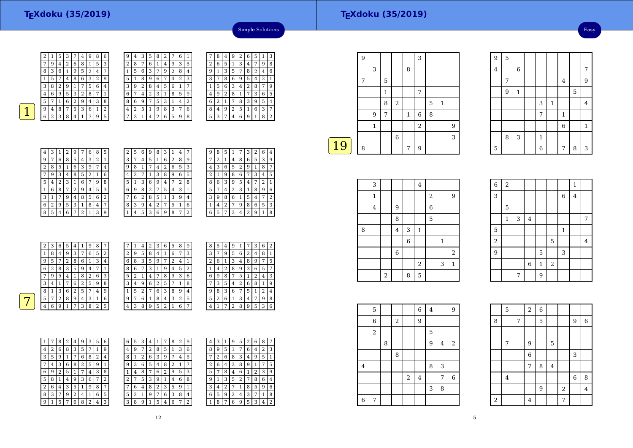Easy

<sup>1</sup>



2

 $\sqrt{8}$  $\frac{8}{1}$   $\frac{3}{5}$   $\frac{6}{7}$   $\frac{1}{4}$ 

| 2 | 1 | 5 | 3 |   | 4 | 9 | 8 | 6 | 9 | 4      | З | 5 | 8              | 2 |   | 6 |                |
|---|---|---|---|---|---|---|---|---|---|--------|---|---|----------------|---|---|---|----------------|
| 7 | 9 | 4 | 2 | 6 | 8 | 1 | 5 | 3 | 2 | 8      | 7 | 6 | 1              | 4 | 9 | 3 | 5              |
| 8 | 3 | 6 | 1 | 9 | 5 | 2 | 4 | 7 |   | 5      | 6 | 3 | 7              | 9 | 2 | 8 | 4              |
| 1 | 5 |   | 4 | 8 | 6 | З | 2 | 9 | 5 |        | 8 | 9 | 6              | 7 | 4 | 2 | 3              |
| 3 | 8 | 2 | 9 | 1 | 7 | 5 | 6 | 4 | 3 | 9      | 2 | 8 | 4              | 5 | 6 | 1 | 7              |
| 4 | 6 | 9 | 5 | 3 | 2 | 8 | 7 |   | 6 |        | 4 | 2 | 3              | 1 | 8 | 5 | 9              |
| 5 |   | 1 | 6 | 2 | 9 | 4 | 3 | 8 | 8 | 6      | 9 |   | 5              | 3 | 1 | 4 | $\overline{2}$ |
| 9 | 4 | 8 | 7 | 5 | 3 | 6 | 1 | 2 | 4 | っ<br>∠ | 5 | 1 | 9              | 8 | 3 | 7 | 6              |
| 6 | 2 | 3 | 8 | 4 |   | 7 | 9 | 5 | 7 | 3      |   | 4 | $\overline{2}$ | 6 | 5 | 9 | 8              |
|   |   |   |   |   |   |   |   |   |   |        |   |   |                |   |   |   |                |

| 1              |   | 8 | 4 | 9 | $\overline{2}$ | 6 | 5 | 1              | 3              |
|----------------|---|---|---|---|----------------|---|---|----------------|----------------|
| 5              | 2 | 6 | 5 | 1 | 3              | 4 | 7 | 9              | 8              |
| $\frac{4}{1}$  | 9 | 1 | 3 | 5 | 7              | 8 | 2 | 4              | 6              |
| 3              | 3 | 7 | 8 | 6 | 9              | 5 | 4 | $\overline{2}$ | 1              |
| 7              | 1 | 5 | 6 | 3 | 4              | 2 | 8 | 7              | 9              |
| 9              | 4 | 9 | 2 | 8 | 1              | 7 | 3 | 6              | 5              |
| $\overline{c}$ | 6 | 2 | 1 | 7 | 8              | 3 | 9 | 5              | 4              |
| 6              | 8 | 4 | 9 | 2 | 5              | 1 | 6 | 3              | 7              |
| 8              | 5 | 3 | 7 | 4 | 6              | 9 | 1 | 8              | $\overline{2}$ |

Simple Solutions

7

| 4 | 3 | 1              | $\overline{2}$ | 9              | 7              | 6 | 8 | 5 |
|---|---|----------------|----------------|----------------|----------------|---|---|---|
| 9 | 7 | 6              | 8              | 5              | 4              | 3 | 2 | 1 |
| 2 | 8 | 5              | 1              | 6              | 3              | 9 | 7 | 4 |
|   | 9 | 3              | 4              | 8              | 5              | 2 | 1 | 6 |
| 5 | 4 | $\overline{2}$ | 3              | 1              | 6              | 7 | 9 | 8 |
| 1 | 6 | 8              |                | $\overline{2}$ | 9              | 4 | 5 | 3 |
| 3 | 1 | 7              | 9              | 4              | 8              | 5 | 6 | 2 |
| 6 | 2 | 9              | 5              | 3              | 1              | 8 | 4 |   |
| 8 | 5 | 4              | 6              | 7              | $\overline{2}$ | 1 | 3 | 9 |

| 2 | 5 | 6 | 9 | 8 | 3 | 1                       | 4 |   |  |
|---|---|---|---|---|---|-------------------------|---|---|--|
| 3 | 7 | 4 | 5 | 1 | 6 | 2                       | 8 | 9 |  |
| 9 | 8 | 1 | 7 | 4 | 2 | 6                       | 5 | 3 |  |
| 4 | 2 | 7 | 1 | 3 | 8 | 9                       | 6 | 5 |  |
| 5 | 1 | 3 | 6 | 9 | 4 | 7                       | 2 | 8 |  |
| 6 | 9 | 8 | 2 | 7 | 5 | $\overline{\mathbf{4}}$ | 3 | 1 |  |
|   | 6 | 2 | 8 | 5 | 1 | 3                       | 9 | 4 |  |
| 8 | 3 | 9 | 4 | 2 | 7 | 5                       | 1 | 6 |  |
| 1 | 4 | 5 | 3 | 6 | 9 | 8                       | 7 | 2 |  |

| 9 | 8 | 5 | 1 | 7 | 3 | 2 | 6 | 4              |
|---|---|---|---|---|---|---|---|----------------|
|   | 2 | 1 | 4 | 8 | 6 | 5 | 3 | 9              |
| 4 | 3 | 6 | 5 | 2 | 9 | 1 | 8 | 7              |
| 2 | 1 | 9 | 8 | 6 |   | 3 | 4 | 5              |
| 8 | 6 | 3 | 9 | 5 | 4 |   | 2 | 1              |
| 5 |   | 4 | 2 | 3 | 1 | 8 | 9 | 6              |
| 3 | 9 | 8 | 6 | 1 | 5 | 4 |   | $\overline{2}$ |
| 1 | 4 | 2 | 7 | 9 | 8 | 6 | 5 | 3              |
| 6 | 5 |   | 3 | 4 | 2 | 9 | 1 | 8              |

| $\overline{2}$ | 3 | 6              | 5 | 4              | 1 | 9 | 8 | 7 | 7 |        | 4              | 2 | 3 | 6      | 5 | 8 | 9              |  |
|----------------|---|----------------|---|----------------|---|---|---|---|---|--------|----------------|---|---|--------|---|---|----------------|--|
| 1              | 8 | $\overline{4}$ | 9 | 3              | 7 | 6 | 5 | 2 | 2 | 9      | 5              | 8 | 4 |        | 6 | 7 | 3              |  |
| 9              | 5 | 7              | 2 | 8              | 6 | 1 | 3 | 4 | 6 | 8      | 3              | 5 | 9 | 7      | 2 | 4 |                |  |
| 6              | 2 | 8              | 3 | 5              | 9 | 4 | 7 |   | 8 | 6      | 7              | 3 |   | 9      | 4 | 5 | $\overline{2}$ |  |
| 7              | 9 | 5              | 4 | 1              | 8 | 2 | 6 | 3 | 5 | ∍<br>∠ | 1              | 4 | 7 | 8      | 9 | 3 | 6              |  |
| 3              | 4 |                |   | 6              | 2 | 5 | 9 | 8 | 3 | 4      | 9              | 6 | 2 | 5      | 7 | ┸ | 8              |  |
| 8              |   | 3              | 6 | $\overline{2}$ | 5 | 7 | 4 | 9 |   | 5      | $\overline{2}$ | 7 | 6 | 3      | 8 | 9 | $\overline{4}$ |  |
| 5              | 7 | 2              | 8 | 9              | 4 | 3 |   | 6 | 9 | 7      | 6              |   | 8 | 4      | 3 | 2 | 5              |  |
| 4              | 6 | 9              |   | 7              | 3 | 8 | 2 | 5 | 4 | 3      | 8              | 9 | 5 | ∍<br>∠ |   | 6 | 7              |  |
|                |   |                |   |                |   |   |   |   |   |        |                |   |   |        |   |   |                |  |

12

| 8 | 5 | 4 | 9              | 1              |   | 3 | 6              | $\overline{2}$ |
|---|---|---|----------------|----------------|---|---|----------------|----------------|
| 3 | 7 | 9 | 5              | 6              | 2 | 4 | 8              | 1              |
| 2 | 6 | 1 | 3              | $\overline{4}$ | 8 | 9 | 7              | 5              |
|   | 4 | 2 | 8              | 9              | 3 | 6 | 5              | 7              |
| 6 | 9 | 8 | 7              | 5              | 1 | 2 | 4              | 3              |
|   | 3 | 5 | 4              | 2              | 6 | 8 | 1              | 9              |
| 9 | 8 | 3 | 6              | 7              | 5 | 1 | $\overline{2}$ | 4              |
| 5 | 2 | 6 | 1              | 3              | 4 | 7 | 9              | 8              |
|   |   | 7 | $\overline{2}$ | 8              | 9 | 5 | 3              | 6              |

| 1 |   | 8 | 2 | 4 | 9       | 3              | 5 | 6 | 6 |
|---|---|---|---|---|---------|----------------|---|---|---|
| 4 | 2 | 6 | 8 | 3 | 5       | 7              | 1 | 9 | 4 |
| 3 | 5 | 9 | 1 | 7 | 6       | 8              | 2 | 4 | 8 |
|   | 4 | 3 | 6 | 8 | 2       | 5              | 9 | 1 | 9 |
| 6 | 9 | 2 | 5 | 1 | 7       | 4              | 3 | 8 |   |
| 5 | 8 | 1 | 4 | 9 | 3       | 6              | 7 | 2 | 2 |
| 2 | 6 | 4 | 3 | 5 | 1       | 9              | 8 | 7 |   |
| 8 | 3 | 7 | 9 | 2 | $\,4\,$ | 1              | 6 | 5 | 5 |
| 9 | 1 | 5 | 7 | 6 | 8       | $\overline{2}$ | 4 | 3 | 3 |

| 6            | 5 | 3 | 4 |   |   | 8      | 2 | 9 | 4              | 3      |   | g | 5              | 2 | 6 | 8 | 7              |
|--------------|---|---|---|---|---|--------|---|---|----------------|--------|---|---|----------------|---|---|---|----------------|
| 4            | 9 | 7 | 2 | 8 | 5 | 1      | 3 | 6 | 8              | 9      | 5 |   | 7              | 6 | 4 | 2 | 3              |
| 8            | 1 | 2 | 6 | 3 | 9 |        | 4 | 5 | 7              | n<br>∠ | 6 | 8 | 3              | 4 | 9 | 5 | 1              |
| 9            | 3 | 6 | 5 | 4 | 8 | ∍<br>∠ | 1 | 7 | $\overline{2}$ | 6      | 4 | 3 | 8              | 9 | 1 | 7 | 5              |
| $\mathbf{1}$ | 4 | 8 | 7 | 6 | 2 | 9      | 5 | 3 | 5              | 7      | 8 | 4 | 6              | 1 | 2 | 3 | 9              |
| 2            | 7 | 5 | 3 | 9 | 1 | 4      | 6 | 8 | 9              |        | 3 | 5 | $\overline{2}$ | 7 | 8 | 6 | 4              |
| 7            | 6 | 4 | 8 | 2 | 3 | 5      | 9 | 1 | 3              | 4      | า |   |                | 8 | 5 | 9 | 6              |
| 5            | 2 | 1 | 9 | 7 | 6 | 3      | 8 | 4 | 6              | 5      | 9 | 2 | 4              | 3 | 7 | 1 | 8              |
| 3            | 8 | 9 |   | 5 | 4 | 6      | 7 | 2 | 1              | 8      | 7 | 6 | 9              | 5 | 3 | 4 | $\overline{2}$ |
|              |   |   |   |   |   |        |   |   |                |        |   |   |                |   |   |   |                |

 $\frac{8}{2}$ 

|    | 9 |             |   |                |              | 3          |   |   |   |
|----|---|-------------|---|----------------|--------------|------------|---|---|---|
|    |   | 3           |   |                | 8            |            |   |   |   |
|    | 7 |             | 5 |                |              |            |   |   |   |
|    |   |             | 1 |                |              | 7          |   |   |   |
|    |   |             | 8 | $\overline{2}$ |              |            | 5 | 1 |   |
|    |   | 9           | 7 |                | $\mathbf{1}$ | $\,6$      | 8 |   |   |
|    |   | $\mathbf 1$ |   |                |              | $\sqrt{2}$ |   |   | 9 |
|    |   |             |   | 6              |              |            |   |   | 3 |
| 19 | 8 |             |   |                | 7            | 9          |   |   |   |
|    |   |             |   |                |              |            |   |   |   |

|   | 3              |       |                |             | $\bf 4$    |   |              |                |
|---|----------------|-------|----------------|-------------|------------|---|--------------|----------------|
|   | $\mathbf 1$    |       |                |             |            | 2 |              | 9              |
|   | $\overline{4}$ |       | 9              |             |            | 6 |              |                |
|   |                |       | 8              |             |            | 5 |              |                |
| 8 |                |       | $\bf 4$        | 3           | $\,1\,$    |   |              |                |
|   |                |       |                | $\,$ 6 $\,$ |            |   | $\mathbf{1}$ |                |
|   |                |       | $\overline{6}$ |             |            |   |              | $\overline{2}$ |
|   |                |       |                |             | $\sqrt{2}$ |   | 3            | $\mathbf{1}$   |
|   |                | $\,2$ |                | 8           | 5          |   |              |                |

| $\boldsymbol{6}$ | $\overline{2}$ |   |             |                |       |             | $\mathbf{1}$ |                |
|------------------|----------------|---|-------------|----------------|-------|-------------|--------------|----------------|
| 3                |                |   |             |                |       | 6           | $\bf 4$      |                |
|                  | 5              |   |             |                |       |             |              |                |
|                  | $\mathbf{1}$   | 3 | $\bf 4$     |                |       |             |              | 7              |
| 5                |                |   |             |                |       | $\mathbf 1$ |              |                |
| $\overline{a}$   |                |   |             |                | 5     |             |              | $\overline{4}$ |
| $\overline{9}$   |                |   |             | $\overline{5}$ |       | 3           |              |                |
|                  |                |   | $\,$ 6 $\,$ | $\,1\,$        | $\,2$ |             |              |                |
|                  |                | 7 |             | 9              |       |             |              |                |

4 6 7

7 | | | | | 4 | 9

 $\frac{1}{5}$  $\frac{3}{1}$ 

> $\frac{7}{1}$  1 6

 $\frac{1}{\sqrt{4}}$ 

 $7 8 3$ 

9<sup>5</sup>

4

7

8

5

 $3 \mid 1$ 

 $5$  | | | | | 6 | | 7

 $6\overline{6}$ 

 $\frac{9}{1}$ 

|                         | 5     |   |   |       | $\overline{6}$ | 4 |   | 9              |  |
|-------------------------|-------|---|---|-------|----------------|---|---|----------------|--|
|                         | 6     |   | 2 |       | 9              |   |   |                |  |
|                         | $\,2$ |   |   |       |                | 5 |   |                |  |
|                         |       | 8 |   |       |                | 9 | 4 | $\overline{c}$ |  |
|                         |       |   | 8 |       |                |   |   |                |  |
| $\overline{\mathbf{4}}$ |       |   |   |       |                | 8 | 3 |                |  |
|                         |       |   |   | $\,2$ | $\overline{4}$ |   | 7 | $\,$ 6 $\,$    |  |
|                         |       |   |   |       |                | 3 | 8 |                |  |
| $\,$ 6 $\,$             | 7     |   |   |       |                |   |   |                |  |

|       | 5                       |   | $\overline{2}$   | $\overline{6}$ |         |                |                |                |
|-------|-------------------------|---|------------------|----------------|---------|----------------|----------------|----------------|
| 8     |                         | 7 |                  | 5              |         |                | 9              | $\overline{6}$ |
|       |                         |   |                  |                |         |                |                |                |
|       | 7                       |   | 9                |                | 5       |                |                |                |
|       |                         |   | $\boldsymbol{6}$ |                |         |                | 3              |                |
|       |                         |   | 7                | 8              | $\bf 4$ |                |                |                |
|       | $\overline{\mathbf{4}}$ |   |                  |                |         |                | $\overline{6}$ | 8              |
|       |                         |   |                  | $\overline{9}$ |         | $\overline{a}$ |                | $\overline{4}$ |
| $\,2$ |                         |   | 4                |                |         | 7              |                |                |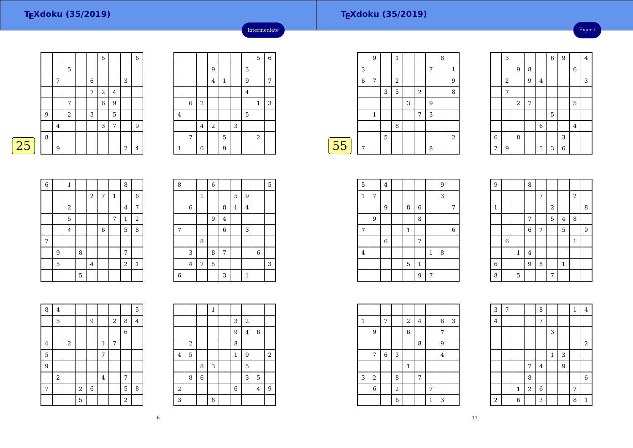Expert

|   |   |                |             |             | 5              |         |            | $\,$ 6 $\,$    |
|---|---|----------------|-------------|-------------|----------------|---------|------------|----------------|
|   |   |                | $\mathbf 5$ |             |                |         |            |                |
|   |   | 7              |             | $\,$ 6 $\,$ |                |         | 3          |                |
|   |   |                |             | 7           | $\overline{2}$ | $\bf 4$ |            |                |
|   |   |                | 7           |             | $\,$ 6 $\,$    | 9       |            |                |
|   | 9 |                | $\,2$       | 3           |                | 5       |            |                |
|   |   | $\overline{4}$ |             |             | 3              | 7       |            | 9              |
|   | 8 |                |             |             |                |         |            |                |
| 5 |   | 9              |             |             |                |         | $\sqrt{2}$ | $\overline{4}$ |

|                |                |                |                |             |   |                | 5                       | $\overline{6}$ |
|----------------|----------------|----------------|----------------|-------------|---|----------------|-------------------------|----------------|
|                |                |                | 9              |             |   | 3              |                         |                |
|                |                |                | $\overline{4}$ | $\mathbf 1$ |   | 9              |                         | 7              |
|                |                |                |                |             |   | $\overline{4}$ |                         |                |
|                | $\overline{6}$ | $\,2$          |                |             |   |                | $\mathbf{1}$            | 3              |
| $\overline{4}$ |                |                |                |             |   | 5              |                         |                |
|                |                | $\bf 4$        | $\sqrt{2}$     |             | 3 |                |                         |                |
|                | 7              |                |                | 5           |   |                | $\overline{\mathbf{c}}$ |                |
| $\mathbf{1}$   |                | $\overline{6}$ |                | 9           |   |                |                         |                |
|                |                |                |                |             |   |                |                         |                |

Intermediate

|   | 9 |   | 1 |   |            |   | 8 |                |
|---|---|---|---|---|------------|---|---|----------------|
| 3 |   |   |   |   |            | 7 |   | 1              |
| 6 | 7 |   | 2 |   |            |   |   | 9              |
|   |   | 3 | 5 |   | $\sqrt{2}$ |   |   | 8              |
|   |   |   |   | 3 |            | 9 |   |                |
|   | 1 |   |   |   | 7          | 3 |   |                |
|   |   |   | 8 |   |            |   |   |                |
|   |   | 5 |   |   |            |   |   | $\overline{2}$ |
| 7 |   |   |   |   |            | 8 |   |                |
|   |   |   |   |   |            |   |   |                |

|        | 3     |       |   |                | $\overline{6}$ | $\overline{9}$ |                | $\overline{4}$ |
|--------|-------|-------|---|----------------|----------------|----------------|----------------|----------------|
|        |       | 9     | 8 |                |                |                | $\,$ 6 $\,$    |                |
|        | $\,2$ |       | 9 | $\overline{4}$ |                |                |                | 3              |
|        | 7     |       |   |                |                |                |                |                |
|        |       | $\,2$ | 7 |                |                |                | 5              |                |
|        |       |       |   |                | 5              |                |                |                |
|        |       |       |   | $\overline{6}$ |                |                | $\overline{4}$ |                |
| $\,$ 6 |       | 8     |   |                |                | 3              |                |                |
| 7      | 9     |       |   | 5              | 3              | $\overline{6}$ |                |                |

|  |  | Г |  |
|--|--|---|--|
|  |  |   |  |

25

| 6 |   | $\mathbf 1$    |   |                  |   |              | 8                |              |
|---|---|----------------|---|------------------|---|--------------|------------------|--------------|
|   |   |                |   | $\boldsymbol{2}$ | 7 | $\mathbf{1}$ |                  | $\,$ 6 $\,$  |
|   |   | $\,2$          |   |                  |   |              | $\overline{4}$   | 7            |
|   |   | 5              |   |                  |   | 7            | 1                | $\sqrt{2}$   |
|   |   | $\overline{4}$ |   |                  | 6 |              | 5                | 8            |
| 7 |   |                |   |                  |   |              |                  |              |
|   | 9 |                | 8 |                  |   |              | 7                |              |
|   | 5 |                |   | $\overline{4}$   |   |              | $\boldsymbol{2}$ | $\mathbf{1}$ |
|   |   |                | 5 |                  |   |              |                  |              |

┱

| 8                |                |                | $\overline{6}$ |                         |              |                |   | 5 |
|------------------|----------------|----------------|----------------|-------------------------|--------------|----------------|---|---|
|                  |                | $\mathbf 1$    |                |                         | 5            | 9              |   |   |
|                  | $\,$ 6 $\,$    |                |                | 8                       | $\mathbf{1}$ | $\overline{4}$ |   |   |
|                  |                |                | 9              | $\overline{\mathbf{4}}$ |              |                |   |   |
| 7                |                |                |                | 6                       |              | 3              |   |   |
|                  |                | $\, 8$         |                |                         |              |                |   |   |
|                  | $\mathsf 3$    |                | 8              | $\overline{7}$          |              |                | 6 |   |
|                  | $\overline{4}$ | $\overline{7}$ | $\overline{5}$ |                         |              |                |   | 3 |
| $\boldsymbol{6}$ |                |                |                | 3                       |              | $\mathbf 1$    |   |   |

| 8              | $\bf 4$    |       |       |             |                |                |                  | 5              |
|----------------|------------|-------|-------|-------------|----------------|----------------|------------------|----------------|
|                | 5          |       |       | 9           |                | $\overline{2}$ | 8                | $\overline{4}$ |
|                |            |       |       |             |                |                | $\boldsymbol{6}$ |                |
| $\overline{4}$ |            | $\,2$ |       |             | $\mathbf{1}$   | 7              |                  |                |
| 5              |            |       |       |             | 7              |                |                  |                |
| 9              |            |       |       |             |                |                |                  |                |
|                | $\sqrt{2}$ |       |       |             | $\overline{4}$ |                | 7                |                |
| 7              |            |       | $\,2$ | $\,$ 6 $\,$ |                |                | 5                | 8              |
|                |            |       | 5     |             |                |                | $\overline{2}$   |                |

|                |                  |             | $\mathbf{1}$ |                |            |                |                |
|----------------|------------------|-------------|--------------|----------------|------------|----------------|----------------|
|                |                  |             |              | 3              | $\sqrt{2}$ |                |                |
|                |                  |             |              | 9              | $\bf 4$    | $\,$ 6 $\,$    |                |
|                | $\boldsymbol{2}$ |             |              | 8              |            |                |                |
| $\overline{4}$ | 5                |             |              | $\mathbf{1}$   | 9          |                | $\overline{2}$ |
|                |                  | 8           | 3            |                | 5          |                |                |
|                | 8                | $\,$ 6 $\,$ |              |                | 3          | 5              |                |
| $\,2$          |                  |             |              | $\overline{6}$ |            | $\overline{4}$ | 9              |
| 3              |                  |             | 8            |                |            |                |                |

| 5                       |   | $\bf 4$     |              |              |         | 9 |       |
|-------------------------|---|-------------|--------------|--------------|---------|---|-------|
| $\mathbf{1}$            | 7 |             |              |              |         | 3 |       |
|                         |   | 9           | 8            | $\,$ 6 $\,$  |         |   | 7     |
|                         | 9 |             |              | 8            |         |   |       |
| 7                       |   |             | $\mathbf{1}$ |              |         |   | $\,6$ |
|                         |   | $\,$ 6 $\,$ |              | 7            |         |   |       |
| $\overline{\mathbf{4}}$ |   |             |              |              | $\,1\,$ | 8 |       |
|                         |   |             | 5            | $\mathbf{1}$ |         |   |       |
|                         |   |             |              | 9            | 7       |   |       |

| $\boldsymbol{9}$ |                |              | 8              |       |       |                |              |   |
|------------------|----------------|--------------|----------------|-------|-------|----------------|--------------|---|
|                  |                |              |                | 7     |       |                | $\sqrt{2}$   |   |
| $\mathbf{1}$     |                |              |                |       | $\,2$ |                |              | 8 |
|                  |                |              | 7              |       | 5     | $\overline{4}$ | 8            |   |
|                  |                |              | $\overline{6}$ | $\,2$ |       | 5              |              | 9 |
|                  | $\overline{6}$ |              |                |       |       |                | $\mathbf{1}$ |   |
|                  |                | $\mathbf{1}$ | $\overline{4}$ |       |       |                |              |   |
| $\,6$            |                |              | 9              | 8     |       | $\,1\,$        |              |   |
| 8                |                | 5            |                |       | 7     |                |              |   |

| $\mathbf{1}$ |                | 7           |                | 2            | 4 |   | 6       | 3 |
|--------------|----------------|-------------|----------------|--------------|---|---|---------|---|
|              | 9              |             |                | $\,$ 6 $\,$  |   |   | 7       |   |
|              |                |             |                |              | 8 |   | 9       |   |
|              | 7              | $\,$ 6 $\,$ | 3              |              |   |   | $\bf 4$ |   |
|              |                |             |                | $\mathbf{1}$ |   |   |         |   |
| 3            | $\overline{2}$ |             | 8              |              | 7 |   |         |   |
|              | $\,$ 6 $\,$    |             | $\overline{a}$ |              |   | 7 |         |   |
|              |                |             | $\overline{6}$ |              |   | 1 | 3       |   |

| 3          | 7 |                |                | 8           |         |   | $\mathbf{1}$ | $\bf 4$        |
|------------|---|----------------|----------------|-------------|---------|---|--------------|----------------|
| $\bf 4$    |   |                |                | 7           |         |   |              |                |
|            |   |                |                |             | 3       |   |              |                |
|            |   |                |                |             |         |   |              | $\overline{2}$ |
|            |   |                |                |             | $\,1\,$ | 3 |              |                |
|            |   |                | 7              | $\bf 4$     |         | 9 |              |                |
|            |   |                | 8              |             |         |   |              | $\,$ 6 $\,$    |
|            |   | $\mathbf 1$    | $\overline{c}$ | $\,$ 6 $\,$ |         |   | 7            |                |
| $\sqrt{2}$ |   | $\overline{6}$ |                | 3           |         |   | 8            | $\mathbf{1}$   |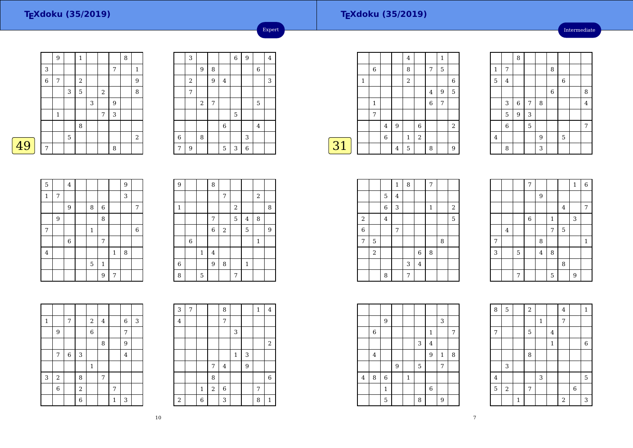### **TEXdoku (35/2019)**

Intermediate

|    |   | 9            |             | 1 |   |   |   | 8 |                |
|----|---|--------------|-------------|---|---|---|---|---|----------------|
|    | 3 |              |             |   |   |   | 7 |   | 1              |
|    | 6 | 7            |             | 2 |   |   |   |   | 9              |
|    |   |              | 3           | 5 |   | 2 |   |   | 8              |
|    |   |              |             |   | 3 |   | 9 |   |                |
|    |   | $\mathbf{1}$ |             |   |   | 7 | 3 |   |                |
|    |   |              |             | 8 |   |   |   |   |                |
|    |   |              | $\mathbf 5$ |   |   |   |   |   | $\overline{2}$ |
| 49 | 7 |              |             |   |   |   | 8 |   |                |

|             | 3                |       |                |             | $\overline{6}$ | $\overline{9}$ |             | $\overline{4}$ |
|-------------|------------------|-------|----------------|-------------|----------------|----------------|-------------|----------------|
|             |                  | 9     | 8              |             |                |                | $\,$ 6 $\,$ |                |
|             | $\boldsymbol{2}$ |       | 9              | $\bf 4$     |                |                |             | 3              |
|             | 7                |       |                |             |                |                |             |                |
|             |                  | $\,2$ | $\overline{7}$ |             |                |                | 5           |                |
|             |                  |       |                |             | 5              |                |             |                |
|             |                  |       |                | $\,$ 6 $\,$ |                |                | $\bf 4$     |                |
| $\,$ 6 $\,$ |                  | 8     |                |             |                | 3              |             |                |
| 7           | 9                |       |                | 5           | 3              | $\,$ 6 $\,$    |             |                |

Expert

|             |              |              |         |                | 4            |   |   | 1 |                |
|-------------|--------------|--------------|---------|----------------|--------------|---|---|---|----------------|
|             |              | 6            |         |                | 8            |   | 7 | 5 |                |
|             | $\mathbf{1}$ |              |         |                | 2            |   |   |   | 6              |
|             |              |              |         |                |              |   | 4 | 9 | 5              |
|             |              | $\mathbf{1}$ |         |                |              |   | 6 | 7 |                |
|             |              | 7            |         |                |              |   |   |   |                |
|             |              |              | $\,4\,$ | 9              |              | 6 |   |   | $\overline{2}$ |
|             |              |              | 6       |                | $\mathbf{1}$ | 2 |   |   |                |
| $\sqrt{31}$ |              |              |         | $\overline{4}$ | 5            |   | 8 |   | 9              |
|             |              |              |         |                |              |   |   |   |                |

|              |                | 8     |   |   |                |   |         |
|--------------|----------------|-------|---|---|----------------|---|---------|
| $\mathbf{1}$ | 7              |       |   |   | 8              |   |         |
| 5            | $\bf 4$        |       |   |   |                | 6 |         |
|              |                |       |   |   | $\overline{6}$ |   | 8       |
|              | 3              | $\,6$ | 7 | 8 |                |   | $\bf 4$ |
|              | 5              | 9     | 3 |   |                |   |         |
|              | $\overline{6}$ |       | 5 |   |                |   | 7       |
| $\bf 4$      |                |       |   | 9 |                | 5 |         |
|              | 8              |       |   | 3 |                |   |         |

| 5            |   | $\bf 4$ |              |             |              | 9 |                  |
|--------------|---|---------|--------------|-------------|--------------|---|------------------|
| $\mathbf{1}$ | 7 |         |              |             |              | 3 |                  |
|              |   | 9       | 8            | $\,$ 6 $\,$ |              |   | 7                |
|              | 9 |         |              | 8           |              |   |                  |
| 7            |   |         | $\mathbf{1}$ |             |              |   | $\boldsymbol{6}$ |
|              |   | $\,6\,$ |              | 7           |              |   |                  |
| $\bf 4$      |   |         |              |             | $\mathbf{1}$ | 8 |                  |
|              |   |         | 5            | $\,1\,$     |              |   |                  |
|              |   |         |              | 9           | 7            |   |                  |

| $\overline{9}$ |             |              | 8 |       |            |                         |             |   |
|----------------|-------------|--------------|---|-------|------------|-------------------------|-------------|---|
|                |             |              |   | 7     |            |                         | 2           |   |
| $\,1\,$        |             |              |   |       | $\sqrt{2}$ |                         |             | 8 |
|                |             |              | 7 |       | 5          | $\overline{\mathbf{4}}$ | 8           |   |
|                |             |              | 6 | $\,2$ |            | 5                       |             | 9 |
|                | $\,$ 6 $\,$ |              |   |       |            |                         | $\mathbf 1$ |   |
|                |             | $\mathbf{1}$ | 4 |       |            |                         |             |   |
| $\overline{6}$ |             |              | 9 | 8     |            | $\mathbf{1}$            |             |   |
| 8              |             | 5            |   |       | 7          |                         |             |   |

| $\mathbf 1$ |                | 7           |                | $\boldsymbol{2}$ | 4 |   | 6              | 3 |
|-------------|----------------|-------------|----------------|------------------|---|---|----------------|---|
|             | 9              |             |                | 6                |   |   | 7              |   |
|             |                |             |                |                  | 8 |   | 9              |   |
|             | 7              | $\,$ 6 $\,$ | 3              |                  |   |   | $\overline{4}$ |   |
|             |                |             |                | $\,1\,$          |   |   |                |   |
| 3           | $\,2$          |             | 8              |                  | 7 |   |                |   |
|             | $\overline{6}$ |             | $\overline{a}$ |                  |   | 7 |                |   |
|             |                |             | $\overline{6}$ |                  |   | 1 | 3              |   |

| 3                       | 7 |              |       | 8              |             |   | $\mathbf{1}$ | 4              |
|-------------------------|---|--------------|-------|----------------|-------------|---|--------------|----------------|
| $\overline{\mathbf{4}}$ |   |              |       | 7              |             |   |              |                |
|                         |   |              |       |                | 3           |   |              |                |
|                         |   |              |       |                |             |   |              | $\,2$          |
|                         |   |              |       |                | $\mathbf 1$ | 3 |              |                |
|                         |   |              | 7     | $\overline{4}$ |             | 9 |              |                |
|                         |   |              | 8     |                |             |   |              | $\overline{6}$ |
|                         |   | $\mathbf{1}$ | $\,2$ | $\,$ 6 $\,$    |             |   | 7            |                |
| $\overline{\mathbf{c}}$ |   | 6            |       | 3              |             |   | 8            | $\mathbf{1}$   |

|                |                |             | $\,1\,$ | 8 |         | 7            |   |                  |  |
|----------------|----------------|-------------|---------|---|---------|--------------|---|------------------|--|
|                |                | $\mathbf 5$ | $\bf 4$ |   |         |              |   |                  |  |
|                |                | $\,$ 6 $\,$ | 3       |   |         | $\mathbf{1}$ |   | $\boldsymbol{2}$ |  |
| $\,2$          |                | 4           |         |   |         |              |   | 5                |  |
| $\overline{6}$ |                |             | 7       |   |         |              |   |                  |  |
| 7              | 5              |             |         |   |         |              | 8 |                  |  |
|                | $\overline{2}$ |             |         |   | $\,6$   | 8            |   |                  |  |
|                |                |             |         | 3 | $\bf 4$ |              |   |                  |  |
|                |                | 8           |         | 7 |         |              |   |                  |  |

|   |         |                | 7           |                |              |         | $\mathbf 1$ | $\overline{6}$ |
|---|---------|----------------|-------------|----------------|--------------|---------|-------------|----------------|
|   |         |                |             | 9              |              |         |             |                |
|   |         |                |             |                |              | $\bf 4$ |             | 7              |
|   |         |                | $\,$ 6 $\,$ |                | $\mathbf{1}$ |         | 3           |                |
|   | $\bf 4$ |                |             |                | 7            | 5       |             |                |
| 7 |         |                |             | 8              |              |         |             | $\mathbf{1}$   |
| 3 |         | $\overline{5}$ |             | $\overline{4}$ | 8            |         |             |                |
|   |         |                |             |                |              | 8       |             |                |
|   |         | 7              |             |                | 5            |         | 9           |                |

|                         |                | 9            |   |              |   |              | 3            |   |  |
|-------------------------|----------------|--------------|---|--------------|---|--------------|--------------|---|--|
|                         | $\,6$          |              |   |              |   | $\mathbf{1}$ |              | 7 |  |
|                         |                |              |   |              | 3 | $\bf 4$      |              |   |  |
|                         | $\overline{4}$ |              |   |              |   | 9            | $\mathbf{1}$ | 8 |  |
|                         |                |              | 9 |              | 5 |              | 7            |   |  |
| $\overline{\mathbf{4}}$ | 8              | $\,6$        |   | $\mathbf{1}$ |   |              |              |   |  |
|                         |                | $\mathbf{1}$ |   |              |   | $\,$ 6 $\,$  |              |   |  |
|                         |                | 5            |   |              | 8 |              | 9            |   |  |

| 8       | $\mathbf 5$               |              | $\sqrt{2}$ |             |                | $\overline{4}$ |                | $\mathbf{1}$ |
|---------|---------------------------|--------------|------------|-------------|----------------|----------------|----------------|--------------|
|         |                           |              |            | $\mathbf 1$ |                | $\overline{7}$ |                |              |
| 7       |                           |              | 5          |             | $\overline{4}$ |                |                |              |
|         |                           |              |            |             | $\,1\,$        |                |                | $\,$ 6 $\,$  |
|         |                           |              | 8          |             |                |                |                |              |
|         | $\ensuremath{\mathsf{3}}$ |              |            |             |                |                |                |              |
| $\bf 4$ |                           |              |            | 3           |                |                |                | 5            |
| 5       | $\,2$                     |              | $\sqrt{ }$ |             |                |                | $\overline{6}$ |              |
|         |                           | $\mathbf{1}$ |            |             |                | $\overline{c}$ |                | 3            |

г